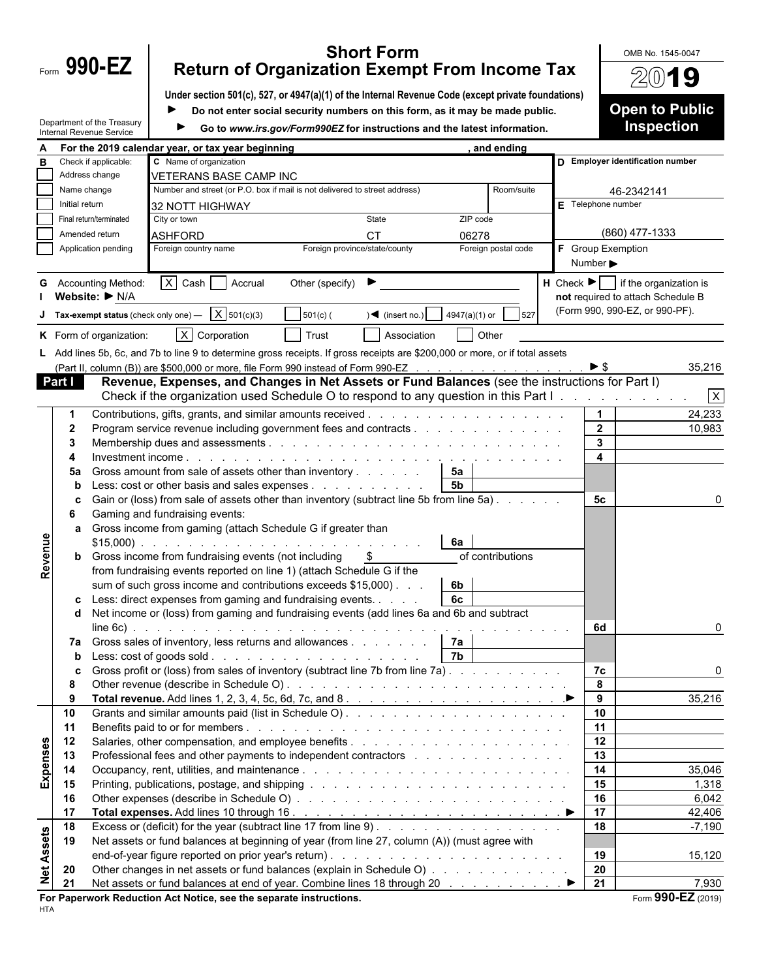| Form | 990-E |  |
|------|-------|--|
|      |       |  |

## **Short Form Short From Income Tax** Allow Blue No. 1545-0047<br>Form 990-EZ Return of Organization Exempt From Income Tax

**Under section 501(c), 527, or 4947(a)(1) of the Internal Revenue Code (except private foundations)**

|                   |                                                 |                                                                 |                                                                                                                                                                            | Do not enter social security numbers on this form, as it may be made public. |                                     |               |                     |                              |                | <b>Open to Public</b>                                            |
|-------------------|-------------------------------------------------|-----------------------------------------------------------------|----------------------------------------------------------------------------------------------------------------------------------------------------------------------------|------------------------------------------------------------------------------|-------------------------------------|---------------|---------------------|------------------------------|----------------|------------------------------------------------------------------|
|                   |                                                 | Department of the Treasury<br>Internal Revenue Service          | Go to www.irs.gov/Form990EZ for instructions and the latest information.                                                                                                   |                                                                              |                                     |               |                     |                              |                | <b>Inspection</b>                                                |
|                   |                                                 | For the 2019 calendar year, or tax year beginning<br>and ending |                                                                                                                                                                            |                                                                              |                                     |               |                     |                              |                |                                                                  |
| в                 |                                                 | Check if applicable:                                            | C Name of organization                                                                                                                                                     |                                                                              |                                     |               |                     |                              |                | D Employer identification number                                 |
|                   | Address change<br><b>VETERANS BASE CAMP INC</b> |                                                                 |                                                                                                                                                                            |                                                                              |                                     |               |                     |                              |                |                                                                  |
|                   | Name change                                     |                                                                 | Number and street (or P.O. box if mail is not delivered to street address)                                                                                                 |                                                                              |                                     | Room/suite    |                     |                              | 46-2342141     |                                                                  |
|                   | Initial return                                  |                                                                 | 32 NOTT HIGHWAY                                                                                                                                                            |                                                                              |                                     |               |                     | $E$ Telephone number         |                |                                                                  |
|                   |                                                 | Final return/terminated                                         | City or town                                                                                                                                                               |                                                                              | State                               | ZIP code      |                     |                              |                |                                                                  |
|                   |                                                 | Amended return                                                  | <b>ASHFORD</b>                                                                                                                                                             |                                                                              | <b>CT</b>                           | 06278         |                     |                              |                | (860) 477-1333                                                   |
|                   |                                                 | Application pending                                             | Foreign country name                                                                                                                                                       | Foreign province/state/county                                                |                                     |               | Foreign postal code | F Group Exemption            |                |                                                                  |
|                   |                                                 |                                                                 |                                                                                                                                                                            |                                                                              |                                     |               |                     | Number $\blacktriangleright$ |                |                                                                  |
|                   |                                                 | <b>G</b> Accounting Method:                                     | $X$ Cash Accrual                                                                                                                                                           | Other (specify) $\blacktriangleright$                                        |                                     |               |                     |                              |                | $\mathsf H$ Check $\blacktriangleright$   if the organization is |
|                   |                                                 | Website: ▶ N/A                                                  |                                                                                                                                                                            |                                                                              |                                     |               |                     |                              |                | not required to attach Schedule B                                |
|                   |                                                 | Tax-exempt status (check only one) -                            | X 501(c)(3)                                                                                                                                                                | $501(c)$ (                                                                   | $) \blacktriangleleft$ (insert no.) | 4947(a)(1) or | 527                 |                              |                | (Form 990, 990-EZ, or 990-PF).                                   |
|                   |                                                 |                                                                 |                                                                                                                                                                            |                                                                              |                                     |               |                     |                              |                |                                                                  |
|                   |                                                 | K Form of organization:                                         | $X$ Corporation                                                                                                                                                            | Trust                                                                        | Association                         | Other         |                     |                              |                |                                                                  |
|                   |                                                 |                                                                 | L Add lines 5b, 6c, and 7b to line 9 to determine gross receipts. If gross receipts are \$200,000 or more, or if total assets                                              |                                                                              |                                     |               |                     |                              |                |                                                                  |
|                   |                                                 |                                                                 | (Part II, column (B)) are \$500,000 or more, file Form 990 instead of Form 990-EZ                                                                                          |                                                                              |                                     |               |                     | $\triangleright$ \$          |                | 35,216                                                           |
|                   | <b>Part I</b>                                   |                                                                 | Revenue, Expenses, and Changes in Net Assets or Fund Balances (see the instructions for Part I)                                                                            |                                                                              |                                     |               |                     |                              |                |                                                                  |
|                   |                                                 |                                                                 | Check if the organization used Schedule O to respond to any question in this Part I.                                                                                       |                                                                              |                                     |               |                     |                              |                | $\overline{x}$                                                   |
|                   | -1                                              |                                                                 |                                                                                                                                                                            |                                                                              |                                     |               |                     |                              | $\mathbf{1}$   | 24,233                                                           |
|                   | $\mathbf{2}$                                    |                                                                 | Program service revenue including government fees and contracts                                                                                                            |                                                                              |                                     |               |                     |                              | $\overline{2}$ | 10,983                                                           |
|                   | 3                                               |                                                                 |                                                                                                                                                                            |                                                                              |                                     |               |                     |                              | 3              |                                                                  |
|                   |                                                 |                                                                 |                                                                                                                                                                            |                                                                              |                                     |               |                     |                              | 4              |                                                                  |
|                   | 5a                                              |                                                                 | Gross amount from sale of assets other than inventory                                                                                                                      |                                                                              |                                     | 5a            |                     |                              |                |                                                                  |
|                   | b                                               |                                                                 | Less: cost or other basis and sales expenses $\ldots$<br>Gain or (loss) from sale of assets other than inventory (subtract line 5b from line 5a)                           |                                                                              |                                     | <b>5b</b>     |                     |                              | 5 <sub>c</sub> |                                                                  |
|                   | c<br>6                                          |                                                                 | Gaming and fundraising events:                                                                                                                                             |                                                                              |                                     |               |                     |                              |                |                                                                  |
|                   | a                                               |                                                                 | Gross income from gaming (attach Schedule G if greater than                                                                                                                |                                                                              |                                     |               |                     |                              |                |                                                                  |
|                   |                                                 |                                                                 | $$15,000$ )                                                                                                                                                                |                                                                              |                                     | 6a            |                     |                              |                |                                                                  |
|                   |                                                 |                                                                 | <b>b</b> Gross income from fundraising events (not including                                                                                                               |                                                                              | -\$                                 |               | of contributions    |                              |                |                                                                  |
| Revenue           |                                                 |                                                                 | from fundraising events reported on line 1) (attach Schedule G if the                                                                                                      |                                                                              |                                     |               |                     |                              |                |                                                                  |
|                   |                                                 |                                                                 | sum of such gross income and contributions exceeds \$15,000).                                                                                                              |                                                                              |                                     | 6b            |                     |                              |                |                                                                  |
|                   | c                                               |                                                                 | Less: direct expenses from gaming and fundraising events.                                                                                                                  |                                                                              |                                     | 6c            |                     |                              |                |                                                                  |
|                   | d                                               |                                                                 | Net income or (loss) from gaming and fundraising events (add lines 6a and 6b and subtract                                                                                  |                                                                              |                                     |               |                     |                              |                |                                                                  |
|                   |                                                 | $line 6c$ .                                                     |                                                                                                                                                                            |                                                                              |                                     |               |                     |                              | 6d             |                                                                  |
|                   |                                                 |                                                                 | 7a Gross sales of inventory, less returns and allowances                                                                                                                   |                                                                              |                                     | 7а            |                     |                              |                |                                                                  |
|                   |                                                 |                                                                 |                                                                                                                                                                            |                                                                              |                                     |               |                     |                              |                |                                                                  |
|                   | c                                               |                                                                 | Gross profit or (loss) from sales of inventory (subtract line 7b from line 7a).                                                                                            |                                                                              |                                     |               |                     |                              | 7c             | $\Omega$                                                         |
|                   | 8                                               |                                                                 |                                                                                                                                                                            |                                                                              |                                     |               |                     |                              | 8              |                                                                  |
|                   | 9                                               |                                                                 |                                                                                                                                                                            |                                                                              |                                     |               |                     |                              | 9              | 35,216                                                           |
|                   | 10                                              |                                                                 |                                                                                                                                                                            |                                                                              |                                     |               |                     |                              | 10<br>11       |                                                                  |
|                   | 11                                              |                                                                 |                                                                                                                                                                            |                                                                              |                                     |               |                     | 12                           |                |                                                                  |
|                   | 12<br>13                                        |                                                                 | Professional fees and other payments to independent contractors enters and contractors of the state of the Professional fees and other payments to independent contractors |                                                                              |                                     |               |                     | 13                           |                |                                                                  |
|                   | 14                                              |                                                                 |                                                                                                                                                                            |                                                                              |                                     |               |                     |                              | 14             | 35,046                                                           |
| <b>Expenses</b>   | 15                                              |                                                                 |                                                                                                                                                                            |                                                                              |                                     |               |                     |                              | 15             | 1,318                                                            |
|                   | 16                                              |                                                                 |                                                                                                                                                                            |                                                                              |                                     |               |                     |                              | 16             | 6,042                                                            |
|                   | 17                                              |                                                                 |                                                                                                                                                                            |                                                                              |                                     |               |                     |                              | 17             | 42,406                                                           |
|                   | 18                                              |                                                                 |                                                                                                                                                                            |                                                                              |                                     |               |                     |                              | 18             | $-7,190$                                                         |
| <b>Net Assets</b> | 19                                              |                                                                 | Net assets or fund balances at beginning of year (from line 27, column (A)) (must agree with                                                                               |                                                                              |                                     |               |                     |                              |                |                                                                  |
|                   |                                                 |                                                                 |                                                                                                                                                                            |                                                                              |                                     |               |                     |                              | 19             | 15,120                                                           |
|                   | 20                                              |                                                                 | Other changes in net assets or fund balances (explain in Schedule O)                                                                                                       |                                                                              |                                     |               |                     |                              | 20             |                                                                  |
|                   | 21                                              |                                                                 |                                                                                                                                                                            |                                                                              |                                     |               |                     |                              | 21             | 7,930                                                            |

HTA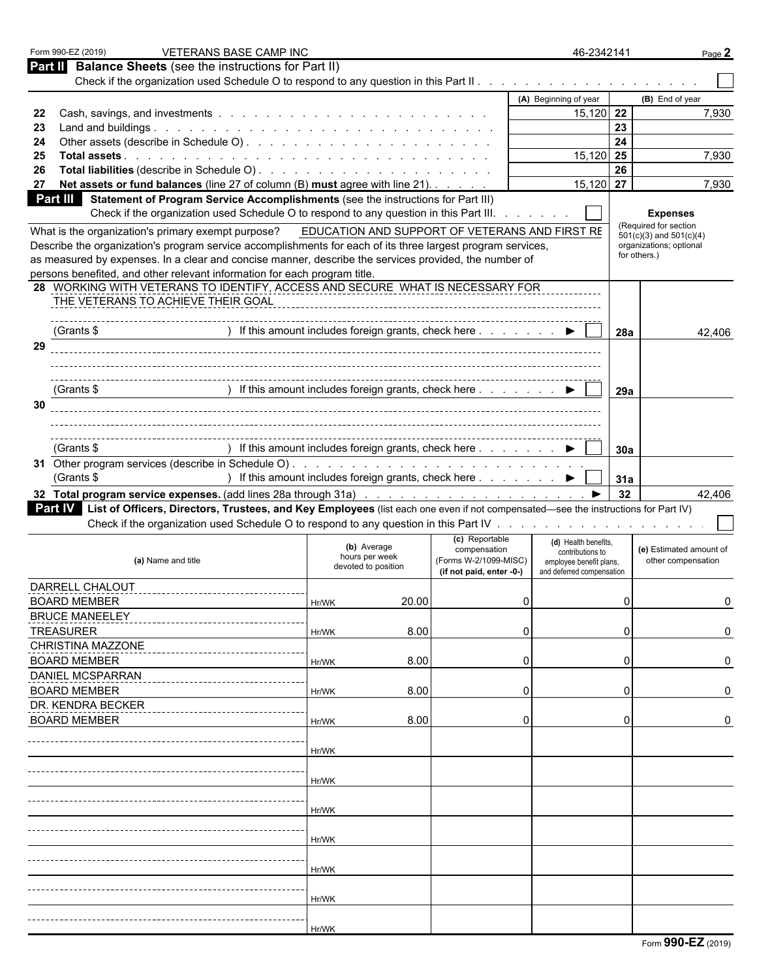| Form 990-EZ (2019)<br><b>VETERANS BASE CAMP INC</b>                                                                                                                                    |                                                                                              |       |                                                        | 46-2342141                               |     |                                                      | Page 2 |
|----------------------------------------------------------------------------------------------------------------------------------------------------------------------------------------|----------------------------------------------------------------------------------------------|-------|--------------------------------------------------------|------------------------------------------|-----|------------------------------------------------------|--------|
| <b>Balance Sheets</b> (see the instructions for Part II)<br>Part II                                                                                                                    |                                                                                              |       |                                                        |                                          |     |                                                      |        |
|                                                                                                                                                                                        |                                                                                              |       |                                                        |                                          |     |                                                      |        |
|                                                                                                                                                                                        |                                                                                              |       |                                                        | (A) Beginning of year                    |     | (B) End of year                                      |        |
| 22                                                                                                                                                                                     |                                                                                              |       |                                                        | $15,120$ 22                              |     |                                                      | 7,930  |
| 23                                                                                                                                                                                     |                                                                                              |       |                                                        |                                          | 23  |                                                      |        |
| 24                                                                                                                                                                                     |                                                                                              |       |                                                        |                                          | 24  |                                                      |        |
| 25                                                                                                                                                                                     |                                                                                              |       |                                                        | 15,120                                   | 25  |                                                      | 7,930  |
| 26                                                                                                                                                                                     |                                                                                              |       |                                                        |                                          | 26  |                                                      |        |
| Net assets or fund balances (line 27 of column (B) must agree with line 21).<br>27                                                                                                     |                                                                                              |       |                                                        | $15,120$ 27                              |     |                                                      | 7,930  |
| Statement of Program Service Accomplishments (see the instructions for Part III)<br>Part III<br>Check if the organization used Schedule O to respond to any question in this Part III. |                                                                                              |       |                                                        |                                          |     | <b>Expenses</b>                                      |        |
| What is the organization's primary exempt purpose?                                                                                                                                     | EDUCATION AND SUPPORT OF VETERANS AND FIRST RE                                               |       |                                                        |                                          |     | (Required for section<br>$501(c)(3)$ and $501(c)(4)$ |        |
| Describe the organization's program service accomplishments for each of its three largest program services,                                                                            |                                                                                              |       |                                                        |                                          |     | organizations; optional                              |        |
| as measured by expenses. In a clear and concise manner, describe the services provided, the number of                                                                                  |                                                                                              |       |                                                        |                                          |     | for others.)                                         |        |
| persons benefited, and other relevant information for each program title.                                                                                                              |                                                                                              |       |                                                        |                                          |     |                                                      |        |
| 28 WORKING WITH VETERANS TO IDENTIFY, ACCESS AND SECURE WHAT IS NECESSARY FOR                                                                                                          |                                                                                              |       |                                                        |                                          |     |                                                      |        |
| THE VETERANS TO ACHIEVE THEIR GOAL                                                                                                                                                     |                                                                                              |       |                                                        |                                          |     |                                                      |        |
|                                                                                                                                                                                        |                                                                                              |       |                                                        |                                          |     |                                                      |        |
| (Grants \$                                                                                                                                                                             | ) If this amount includes foreign grants, check here $\ldots$ $\ldots$ $\blacktriangleright$ |       |                                                        |                                          | 28a |                                                      | 42,406 |
| 29                                                                                                                                                                                     |                                                                                              |       |                                                        |                                          |     |                                                      |        |
|                                                                                                                                                                                        |                                                                                              |       |                                                        |                                          |     |                                                      |        |
|                                                                                                                                                                                        |                                                                                              |       |                                                        |                                          |     |                                                      |        |
| (Grants \$                                                                                                                                                                             | If this amount includes foreign grants, check here $\ldots$ $\ldots$ $\ldots$                |       |                                                        |                                          | 29a |                                                      |        |
| 30                                                                                                                                                                                     |                                                                                              |       |                                                        |                                          |     |                                                      |        |
|                                                                                                                                                                                        |                                                                                              |       |                                                        |                                          |     |                                                      |        |
|                                                                                                                                                                                        |                                                                                              |       |                                                        |                                          |     |                                                      |        |
| (Grants \$                                                                                                                                                                             |                                                                                              |       | ) If this amount includes foreign grants, check here ▶ |                                          | 30a |                                                      |        |
|                                                                                                                                                                                        |                                                                                              |       |                                                        |                                          |     |                                                      |        |
|                                                                                                                                                                                        |                                                                                              |       |                                                        |                                          |     |                                                      |        |
|                                                                                                                                                                                        |                                                                                              |       |                                                        |                                          |     |                                                      |        |
| (Grants \$                                                                                                                                                                             | ) If this amount includes foreign grants, check here ▶                                       |       |                                                        |                                          | 31a |                                                      |        |
|                                                                                                                                                                                        |                                                                                              |       |                                                        |                                          | 32  |                                                      | 42,406 |
| Part IV List of Officers, Directors, Trustees, and Key Employees (list each one even if not compensated—see the instructions for Part IV)                                              |                                                                                              |       |                                                        |                                          |     |                                                      |        |
|                                                                                                                                                                                        |                                                                                              |       |                                                        |                                          |     |                                                      |        |
|                                                                                                                                                                                        | (b) Average                                                                                  |       | (c) Reportable<br>compensation                         | (d) Health benefits.<br>contributions to |     | (e) Estimated amount of                              |        |
| (a) Name and title                                                                                                                                                                     | hours per week<br>devoted to position                                                        |       | (Forms W-2/1099-MISC)                                  | employee benefit plans,                  |     | other compensation                                   |        |
|                                                                                                                                                                                        |                                                                                              |       | (if not paid, enter -0-)                               | and deferred compensation                |     |                                                      |        |
| DARRELL CHALOUT                                                                                                                                                                        |                                                                                              |       |                                                        |                                          |     |                                                      |        |
| <b>BOARD MEMBER</b>                                                                                                                                                                    | Hr/WK                                                                                        | 20.00 | 0                                                      |                                          | U   |                                                      |        |
| <b>BRUCE MANEELEY</b>                                                                                                                                                                  |                                                                                              |       |                                                        |                                          |     |                                                      |        |
| <b>TREASURER</b>                                                                                                                                                                       | Hr/WK                                                                                        | 8.00  | C                                                      |                                          | 0   |                                                      |        |
| CHRISTINA MAZZONE                                                                                                                                                                      |                                                                                              |       |                                                        |                                          |     |                                                      |        |
| <b>BOARD MEMBER</b>                                                                                                                                                                    | Hr/WK                                                                                        | 8.00  | C                                                      |                                          | 0   |                                                      |        |
| <b>DANIEL MCSPARRAN</b>                                                                                                                                                                |                                                                                              |       |                                                        |                                          |     |                                                      |        |
| <b>BOARD MEMBER</b>                                                                                                                                                                    | Hr/WK                                                                                        | 8.00  | C                                                      |                                          | 0   |                                                      |        |
| DR. KENDRA BECKER                                                                                                                                                                      |                                                                                              |       |                                                        |                                          |     |                                                      |        |
| <b>BOARD MEMBER</b>                                                                                                                                                                    | Hr/WK                                                                                        | 8.00  | 0                                                      |                                          | 0   |                                                      |        |
|                                                                                                                                                                                        |                                                                                              |       |                                                        |                                          |     |                                                      |        |
|                                                                                                                                                                                        | Hr/WK                                                                                        |       |                                                        |                                          |     |                                                      |        |
|                                                                                                                                                                                        |                                                                                              |       |                                                        |                                          |     |                                                      |        |
|                                                                                                                                                                                        | Hr/WK                                                                                        |       |                                                        |                                          |     |                                                      |        |
|                                                                                                                                                                                        |                                                                                              |       |                                                        |                                          |     |                                                      |        |
|                                                                                                                                                                                        |                                                                                              |       |                                                        |                                          |     |                                                      |        |
|                                                                                                                                                                                        | Hr/WK                                                                                        |       |                                                        |                                          |     |                                                      |        |
|                                                                                                                                                                                        |                                                                                              |       |                                                        |                                          |     |                                                      |        |
|                                                                                                                                                                                        | Hr/WK                                                                                        |       |                                                        |                                          |     |                                                      |        |
|                                                                                                                                                                                        |                                                                                              |       |                                                        |                                          |     |                                                      |        |
|                                                                                                                                                                                        | Hr/WK                                                                                        |       |                                                        |                                          |     |                                                      |        |
|                                                                                                                                                                                        |                                                                                              |       |                                                        |                                          |     |                                                      |        |
|                                                                                                                                                                                        | Hr/WK                                                                                        |       |                                                        |                                          |     |                                                      |        |
|                                                                                                                                                                                        |                                                                                              |       |                                                        |                                          |     |                                                      |        |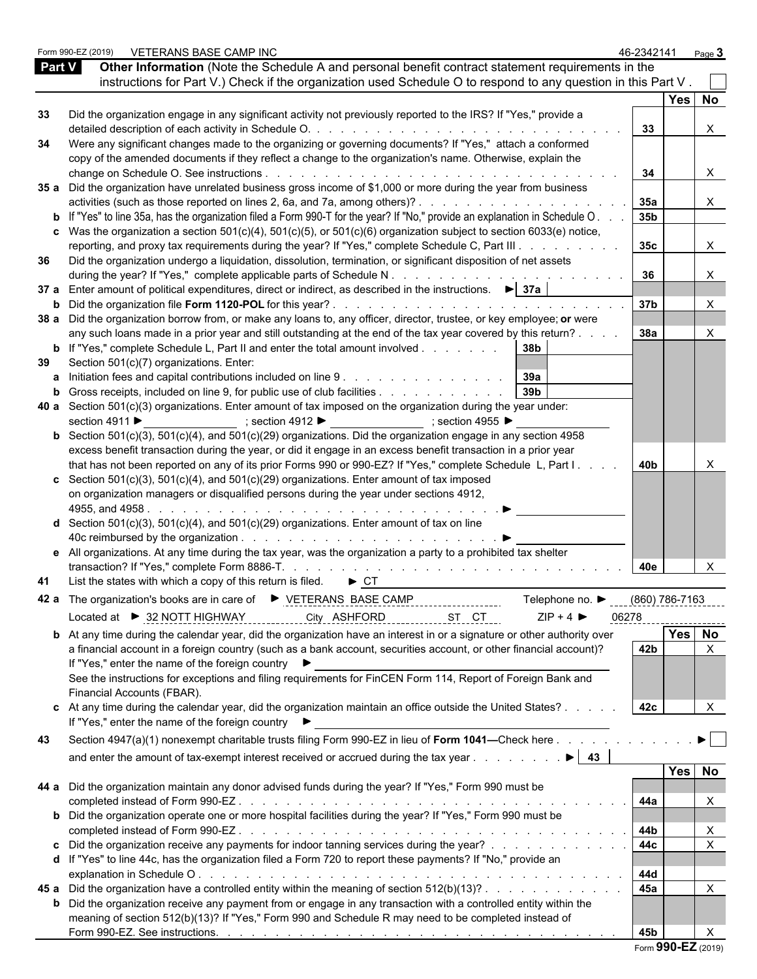|               | VETERANS BASE CAMP INC<br>Form 990-EZ (2019)                                                                                                                                                        | 46-2342141      |                | Page $3$              |
|---------------|-----------------------------------------------------------------------------------------------------------------------------------------------------------------------------------------------------|-----------------|----------------|-----------------------|
| <b>Part V</b> | Other Information (Note the Schedule A and personal benefit contract statement requirements in the                                                                                                  |                 |                |                       |
|               | instructions for Part V.) Check if the organization used Schedule O to respond to any question in this Part V.                                                                                      |                 |                |                       |
|               |                                                                                                                                                                                                     |                 | Yes No         |                       |
| 33            | Did the organization engage in any significant activity not previously reported to the IRS? If "Yes," provide a                                                                                     |                 |                |                       |
|               |                                                                                                                                                                                                     | 33              |                | X                     |
| 34            | Were any significant changes made to the organizing or governing documents? If "Yes," attach a conformed                                                                                            |                 |                |                       |
|               | copy of the amended documents if they reflect a change to the organization's name. Otherwise, explain the                                                                                           |                 |                |                       |
|               |                                                                                                                                                                                                     | 34              |                | X                     |
|               | 35 a Did the organization have unrelated business gross income of \$1,000 or more during the year from business                                                                                     |                 |                |                       |
|               | activities (such as those reported on lines 2, 6a, and 7a, among others)?                                                                                                                           | <b>35a</b>      |                | X.                    |
|               | <b>b</b> If "Yes" to line 35a, has the organization filed a Form 990-T for the year? If "No," provide an explanation in Schedule O.                                                                 | 35 <sub>b</sub> |                |                       |
|               | c Was the organization a section $501(c)(4)$ , $501(c)(5)$ , or $501(c)(6)$ organization subject to section 6033(e) notice,                                                                         |                 |                |                       |
|               | reporting, and proxy tax requirements during the year? If "Yes," complete Schedule C, Part III                                                                                                      | 35 <sub>c</sub> |                | X                     |
| 36            | Did the organization undergo a liquidation, dissolution, termination, or significant disposition of net assets                                                                                      |                 |                |                       |
|               | during the year? If "Yes," complete applicable parts of Schedule N.<br>37 a Enter amount of political expenditures, direct or indirect, as described in the instructions. $\blacktriangleright$ 37a | 36              |                | X                     |
|               |                                                                                                                                                                                                     | 37 <sub>b</sub> |                |                       |
|               | 38 a Did the organization borrow from, or make any loans to, any officer, director, trustee, or key employee; or were                                                                               |                 |                | $\times$              |
|               | any such loans made in a prior year and still outstanding at the end of the tax year covered by this return?                                                                                        | 38a             |                | X                     |
|               | <b>b</b> If "Yes," complete Schedule L, Part II and enter the total amount involved<br> 38b                                                                                                         |                 |                |                       |
| 39            | Section 501(c)(7) organizations. Enter:                                                                                                                                                             |                 |                |                       |
|               | <b>a</b> Initiation fees and capital contributions included on line 9 39a                                                                                                                           |                 |                |                       |
|               | 39 <sub>b</sub><br><b>b</b> Gross receipts, included on line 9, for public use of club facilities                                                                                                   |                 |                |                       |
|               | 40 a Section $501(c)(3)$ organizations. Enter amount of tax imposed on the organization during the year under:                                                                                      |                 |                |                       |
|               | section 4911 ▶<br>_______________________; section 4912 ▶ _____________________; section 4955 ▶                                                                                                     |                 |                |                       |
|               | <b>b</b> Section 501(c)(3), 501(c)(4), and 501(c)(29) organizations. Did the organization engage in any section 4958                                                                                |                 |                |                       |
|               | excess benefit transaction during the year, or did it engage in an excess benefit transaction in a prior year                                                                                       |                 |                |                       |
|               | that has not been reported on any of its prior Forms 990 or 990-EZ? If "Yes," complete Schedule L, Part I.                                                                                          | 40 <sub>b</sub> |                |                       |
|               | c Section $501(c)(3)$ , $501(c)(4)$ , and $501(c)(29)$ organizations. Enter amount of tax imposed                                                                                                   |                 |                |                       |
|               | on organization managers or disqualified persons during the year under sections 4912,                                                                                                               |                 |                |                       |
|               |                                                                                                                                                                                                     |                 |                |                       |
|               | <b>d</b> Section 501(c)(3), 501(c)(4), and 501(c)(29) organizations. Enter amount of tax on line                                                                                                    |                 |                |                       |
|               |                                                                                                                                                                                                     |                 |                |                       |
|               | e All organizations. At any time during the tax year, was the organization a party to a prohibited tax shelter                                                                                      |                 |                |                       |
|               |                                                                                                                                                                                                     | 40e             |                | X                     |
|               | 41 List the states with which a copy of this return is filed. $\blacktriangleright$ CT                                                                                                              |                 |                |                       |
|               | Telephone no. ▶<br>42 a The organization's books are in care of $\triangleright$ VETERANS BASE CAMP                                                                                                 | (860) 786-7163  |                |                       |
|               | $ZIP + 4$<br>Located at ▶ 32 NOTT HIGHWAY<br>City ASHFORD<br>ST CT                                                                                                                                  | 06278           |                |                       |
|               |                                                                                                                                                                                                     |                 | -------------- |                       |
|               | <b>b</b> At any time during the calendar year, did the organization have an interest in or a signature or other authority over                                                                      | 42 <sub>b</sub> | Yes No         | X                     |
|               | a financial account in a foreign country (such as a bank account, securities account, or other financial account)?<br>If "Yes," enter the name of the foreign country ▶                             |                 |                |                       |
|               | See the instructions for exceptions and filing requirements for FinCEN Form 114, Report of Foreign Bank and                                                                                         |                 |                |                       |
|               | Financial Accounts (FBAR).                                                                                                                                                                          |                 |                |                       |
|               | c At any time during the calendar year, did the organization maintain an office outside the United States?                                                                                          | 42c             |                |                       |
|               | If "Yes," enter the name of the foreign country ▶                                                                                                                                                   |                 |                |                       |
|               |                                                                                                                                                                                                     |                 |                |                       |
| 43            | Section 4947(a)(1) nonexempt charitable trusts filing Form 990-EZ in lieu of Form 1041-Check here                                                                                                   |                 |                | $\blacktriangleright$ |
|               | and enter the amount of tax-exempt interest received or accrued during the tax year<br>$\blacktriangleright$ 43                                                                                     |                 |                |                       |
|               |                                                                                                                                                                                                     |                 | Yes No         |                       |
|               | 44 a Did the organization maintain any donor advised funds during the year? If "Yes," Form 990 must be                                                                                              |                 |                |                       |
|               | completed instead of Form 990-EZ.                                                                                                                                                                   | 44a             |                | $\times$              |
|               | <b>b</b> Did the organization operate one or more hospital facilities during the year? If "Yes," Form 990 must be                                                                                   |                 |                |                       |
|               | completed instead of Form 990-EZ.<br>de la caractería de la caractería de la caractería de la caractería de la caractería                                                                           | 44b             |                | X                     |
|               | c Did the organization receive any payments for indoor tanning services during the year?                                                                                                            | 44c             |                | $\mathsf{X}$          |
|               | d If "Yes" to line 44c, has the organization filed a Form 720 to report these payments? If "No," provide an                                                                                         |                 |                |                       |
|               |                                                                                                                                                                                                     | 44d<br>45a      |                |                       |
|               | 45 a Did the organization have a controlled entity within the meaning of section 512(b)(13)?                                                                                                        |                 |                | $\times$              |
|               | <b>b</b> Did the organization receive any payment from or engage in any transaction with a controlled entity within the                                                                             |                 |                |                       |
|               | meaning of section 512(b)(13)? If "Yes," Form 990 and Schedule R may need to be completed instead of                                                                                                | 45 <sub>b</sub> |                |                       |
|               |                                                                                                                                                                                                     |                 |                |                       |

|  | Form 990-EZ (2019) |  |
|--|--------------------|--|
|--|--------------------|--|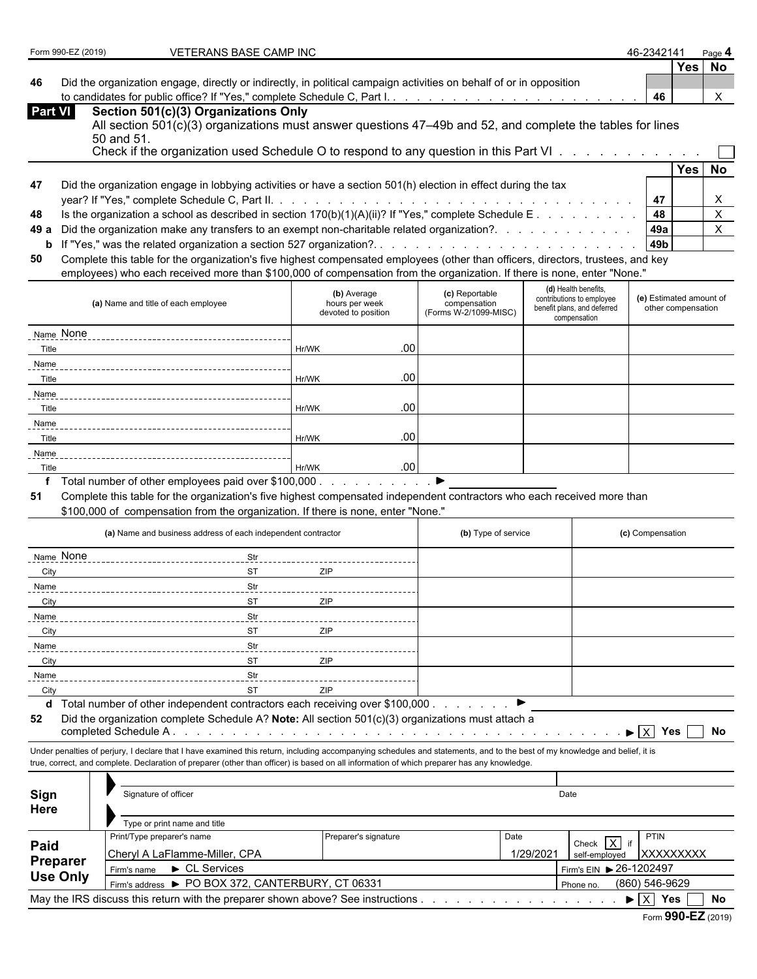|  | Form 990-EZ (2019) |  |
|--|--------------------|--|
|--|--------------------|--|

**FOR 1990 VETERANS BASE CAMP INC 46-2342141** Page 120191 12021 44-2342141

**Yes No**

**46** Did the organization engage, directly or indirectly, in political campaign activities on behalf of or in opposition to candidates for public office? If "Yes," complete Schedule C, Part I. . . . . . . . . . . . . . . . . . . . . . . . . . . . . . . . . . . . . . . . . . . . **46** X

| Part VI | Section 501(c)(3) Organizations Only                                                                              |
|---------|-------------------------------------------------------------------------------------------------------------------|
|         | All section $501(c)(3)$ organizations must answer questions $47-49b$ and $52$ , and complete the tables for lines |
|         | 50 and 51.                                                                                                        |
|         | Check if the organization used Schedule O to respond to any question in this Part VI                              |

|     |                                                                                                                              |       | Yes I | No |
|-----|------------------------------------------------------------------------------------------------------------------------------|-------|-------|----|
| 47  | Did the organization engage in lobbying activities or have a section 501(h) election in effect during the tax                |       |       |    |
|     |                                                                                                                              |       |       |    |
| 48  | Is the organization a school as described in section $170(b)(1)(A)(ii)?$ If "Yes," complete Schedule E 48                    |       |       |    |
|     | 49 a Did the organization make any transfers to an exempt non-charitable related organization?.                              | 49a   |       |    |
|     |                                                                                                                              | l 49b |       |    |
| EO. | Complete this toble for the examinationle five highest companented employees (ether than efficers directors trustees and key |       |       |    |

**50** Complete this table for the organization's five highest compensated employees (other than officers, directors, trustees, and key employees) who each received more than \$100,000 of compensation from the organization. If there is none, enter "None."

| (a) Name and title of each employee                               | (b) Average<br>hours per week<br>devoted to position | (c) Reportable<br>compensation<br>(Forms W-2/1099-MISC) | (d) Health benefits,<br>contributions to employee<br>benefit plans, and deferred<br>compensation | (e) Estimated amount of<br>other compensation |
|-------------------------------------------------------------------|------------------------------------------------------|---------------------------------------------------------|--------------------------------------------------------------------------------------------------|-----------------------------------------------|
| Name None                                                         |                                                      |                                                         |                                                                                                  |                                               |
| Title                                                             | .00.<br>Hr/WK                                        |                                                         |                                                                                                  |                                               |
| Name                                                              |                                                      |                                                         |                                                                                                  |                                               |
| Title                                                             | .00<br>Hr/WK                                         |                                                         |                                                                                                  |                                               |
| Name                                                              |                                                      |                                                         |                                                                                                  |                                               |
| Title                                                             | .00<br>Hr/WK                                         |                                                         |                                                                                                  |                                               |
| Name                                                              |                                                      |                                                         |                                                                                                  |                                               |
| Title                                                             | .00.<br>Hr/WK                                        |                                                         |                                                                                                  |                                               |
| Name                                                              |                                                      |                                                         |                                                                                                  |                                               |
| Title                                                             | .00.<br>Hr/WK                                        |                                                         |                                                                                                  |                                               |
| $\tau$ is a set of the set of the set of the set of $\tau$<br>. . |                                                      |                                                         |                                                                                                  |                                               |

**f** Total number of other employees paid over \$100,000 . . . . . . . . . . . . ▶

**51** Complete this table for the organization's five highest compensated independent contractors who each received more than

\$100,000 of compensation from the organization. If there is none, enter "None."

|             | (a) Name and business address of each independent contractor | (b) Type of service | (c) Compensation |
|-------------|--------------------------------------------------------------|---------------------|------------------|
| Name None   | Str                                                          |                     |                  |
| City        | <b>ST</b><br>ZIP                                             |                     |                  |
| Name        | Str                                                          |                     |                  |
| <b>City</b> | <b>ST</b><br>ZIP                                             |                     |                  |
| Name        | Str                                                          |                     |                  |
| City        | ZIP<br><b>ST</b>                                             |                     |                  |
| Name        | Str                                                          |                     |                  |
| City        | ZIP<br><b>ST</b>                                             |                     |                  |
| Name        | Str                                                          |                     |                  |
| City        | <b>ST</b><br>ZIP                                             |                     |                  |

**d** Total number of other independent contractors each receiving over \$100,000 . . . . . . . . .

**52** Did the organization complete Schedule A? **Note:** All section 501(c)(3) organizations must attach a completed Schedule A . . . . . . . . . . . . . . . . . . . . . . . . . . . . . . . . . . . . . . . . . . . . . . X **Yes No**

Under penalties of perjury, I declare that I have examined this return, including accompanying schedules and statements, and to the best of my knowledge and belief, it is true, correct, and complete. Declaration of preparer (other than officer) is based on all information of which preparer has any knowledge.

| Sign<br>Here    | Signature of officer                                                             |                             | Date                    |           |                  |  |  |
|-----------------|----------------------------------------------------------------------------------|-----------------------------|-------------------------|-----------|------------------|--|--|
|                 | Type or print name and title                                                     |                             |                         |           |                  |  |  |
|                 | Print/Type preparer's name                                                       | Preparer's signature        | Date                    | Check X   | PTIN             |  |  |
| Paid            | Cheryl A LaFlamme-Miller, CPA                                                    | 1/29/2021                   | self-employed           | XXXXXXXXX |                  |  |  |
| Preparer        | $\blacktriangleright$ CL Services<br>Firm's name                                 |                             | Firm's EIN > 26-1202497 |           |                  |  |  |
| <b>Use Only</b> | Firm's address > PO BOX 372, CANTERBURY, CT 06331                                | (860) 546-9629<br>Phone no. |                         |           |                  |  |  |
|                 | May the IRS discuss this return with the preparer shown above? See instructions. |                             |                         |           | No<br><b>Yes</b> |  |  |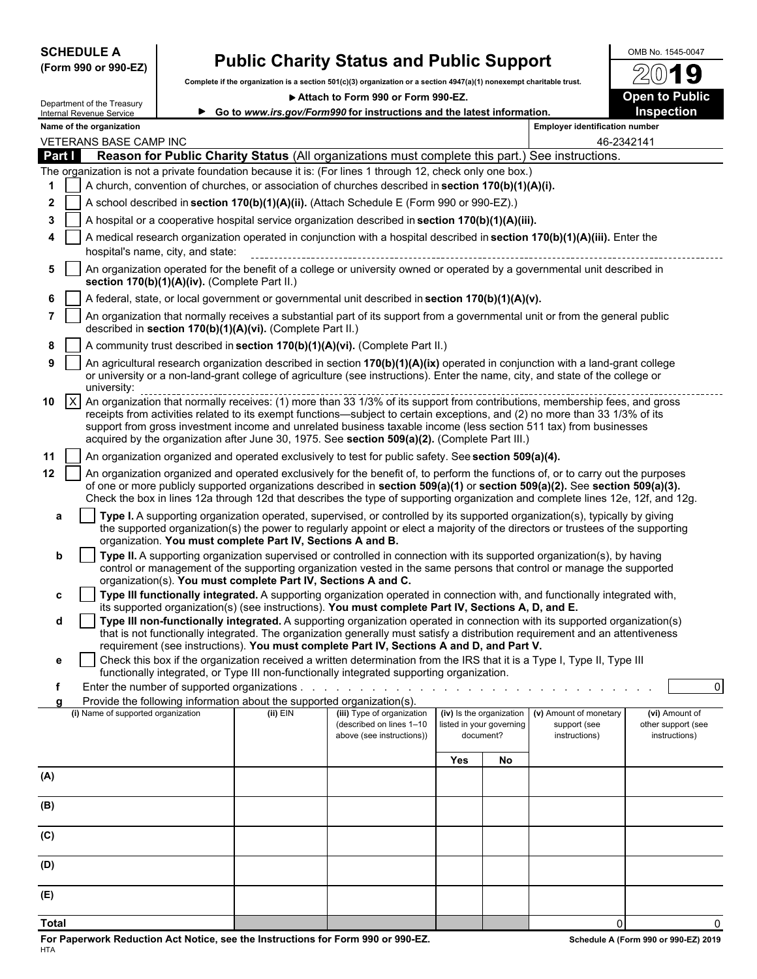## **(Form 990 or 990-EZ)**

# **SCHEDULE A Public Charity Status and Public Support** OMB No. 1545-0047<br>(Form 990 or 990-EZ) Complete if the cranization is a section 501(c)(3) cranization or a section 4947/9)(1) persecure charitable trust 2201

**Complete if the organization is a section 501(c)(3) organization or a section 4947(a)(1) nonexempt charitable trust.**

▶ Attach to Form 990 or Form 990-EZ. **Dem to Public** 



|              |                                                                                                                                                                                                                                   | Department of the Treasury<br>Internal Revenue Service                                             |                                               |                                                                        | P Allach to Form 990 or Form 990-EZ<br>► Go to www.irs.gov/Form990 for instructions and the latest information.                                                                                                                                                                                                                                                                                                                                                                  |     |                                                                   |                                                         | Open to Fublic<br>Inspection                          |  |
|--------------|-----------------------------------------------------------------------------------------------------------------------------------------------------------------------------------------------------------------------------------|----------------------------------------------------------------------------------------------------|-----------------------------------------------|------------------------------------------------------------------------|----------------------------------------------------------------------------------------------------------------------------------------------------------------------------------------------------------------------------------------------------------------------------------------------------------------------------------------------------------------------------------------------------------------------------------------------------------------------------------|-----|-------------------------------------------------------------------|---------------------------------------------------------|-------------------------------------------------------|--|
|              |                                                                                                                                                                                                                                   | Name of the organization                                                                           |                                               |                                                                        |                                                                                                                                                                                                                                                                                                                                                                                                                                                                                  |     |                                                                   | <b>Employer identification number</b>                   |                                                       |  |
|              |                                                                                                                                                                                                                                   | VETERANS BASE CAMP INC                                                                             |                                               |                                                                        |                                                                                                                                                                                                                                                                                                                                                                                                                                                                                  |     |                                                                   |                                                         | 46-2342141                                            |  |
| Part I       |                                                                                                                                                                                                                                   |                                                                                                    |                                               |                                                                        | Reason for Public Charity Status (All organizations must complete this part.) See instructions.                                                                                                                                                                                                                                                                                                                                                                                  |     |                                                                   |                                                         |                                                       |  |
|              |                                                                                                                                                                                                                                   |                                                                                                    |                                               |                                                                        | The organization is not a private foundation because it is: (For lines 1 through 12, check only one box.)                                                                                                                                                                                                                                                                                                                                                                        |     |                                                                   |                                                         |                                                       |  |
|              |                                                                                                                                                                                                                                   | A church, convention of churches, or association of churches described in section 170(b)(1)(A)(i). |                                               |                                                                        |                                                                                                                                                                                                                                                                                                                                                                                                                                                                                  |     |                                                                   |                                                         |                                                       |  |
| 2            |                                                                                                                                                                                                                                   | A school described in section 170(b)(1)(A)(ii). (Attach Schedule E (Form 990 or 990-EZ).)          |                                               |                                                                        |                                                                                                                                                                                                                                                                                                                                                                                                                                                                                  |     |                                                                   |                                                         |                                                       |  |
| 3            | A hospital or a cooperative hospital service organization described in section $170(b)(1)(A)(iii)$ .<br>A medical research organization operated in conjunction with a hospital described in section 170(b)(1)(A)(iii). Enter the |                                                                                                    |                                               |                                                                        |                                                                                                                                                                                                                                                                                                                                                                                                                                                                                  |     |                                                                   |                                                         |                                                       |  |
|              |                                                                                                                                                                                                                                   |                                                                                                    | hospital's name, city, and state:             |                                                                        |                                                                                                                                                                                                                                                                                                                                                                                                                                                                                  |     |                                                                   |                                                         |                                                       |  |
| 5            |                                                                                                                                                                                                                                   |                                                                                                    | section 170(b)(1)(A)(iv). (Complete Part II.) |                                                                        | An organization operated for the benefit of a college or university owned or operated by a governmental unit described in                                                                                                                                                                                                                                                                                                                                                        |     |                                                                   |                                                         |                                                       |  |
|              |                                                                                                                                                                                                                                   |                                                                                                    |                                               |                                                                        | A federal, state, or local government or governmental unit described in section 170(b)(1)(A)(v).                                                                                                                                                                                                                                                                                                                                                                                 |     |                                                                   |                                                         |                                                       |  |
| 7            |                                                                                                                                                                                                                                   |                                                                                                    |                                               | described in section 170(b)(1)(A)(vi). (Complete Part II.)             | An organization that normally receives a substantial part of its support from a governmental unit or from the general public                                                                                                                                                                                                                                                                                                                                                     |     |                                                                   |                                                         |                                                       |  |
| 8            |                                                                                                                                                                                                                                   |                                                                                                    |                                               |                                                                        | A community trust described in section 170(b)(1)(A)(vi). (Complete Part II.)                                                                                                                                                                                                                                                                                                                                                                                                     |     |                                                                   |                                                         |                                                       |  |
| 9            |                                                                                                                                                                                                                                   | university:                                                                                        |                                               |                                                                        | An agricultural research organization described in section 170(b)(1)(A)(ix) operated in conjunction with a land-grant college<br>or university or a non-land-grant college of agriculture (see instructions). Enter the name, city, and state of the college or                                                                                                                                                                                                                  |     |                                                                   |                                                         |                                                       |  |
| 10           | $\mathsf{X}$                                                                                                                                                                                                                      |                                                                                                    |                                               |                                                                        | An organization that normally receives: (1) more than 33 1/3% of its support from contributions, membership fees, and gross<br>receipts from activities related to its exempt functions—subject to certain exceptions, and (2) no more than 33 1/3% of its<br>support from gross investment income and unrelated business taxable income (less section 511 tax) from businesses<br>acquired by the organization after June 30, 1975. See section 509(a)(2). (Complete Part III.) |     |                                                                   |                                                         |                                                       |  |
| 11           |                                                                                                                                                                                                                                   |                                                                                                    |                                               |                                                                        | An organization organized and operated exclusively to test for public safety. See section 509(a)(4).                                                                                                                                                                                                                                                                                                                                                                             |     |                                                                   |                                                         |                                                       |  |
| 12           |                                                                                                                                                                                                                                   |                                                                                                    |                                               |                                                                        | An organization organized and operated exclusively for the benefit of, to perform the functions of, or to carry out the purposes<br>of one or more publicly supported organizations described in section 509(a)(1) or section 509(a)(2). See section 509(a)(3).<br>Check the box in lines 12a through 12d that describes the type of supporting organization and complete lines 12e, 12f, and 12g.                                                                               |     |                                                                   |                                                         |                                                       |  |
| a            |                                                                                                                                                                                                                                   |                                                                                                    |                                               | organization. You must complete Part IV, Sections A and B.             | Type I. A supporting organization operated, supervised, or controlled by its supported organization(s), typically by giving<br>the supported organization(s) the power to regularly appoint or elect a majority of the directors or trustees of the supporting                                                                                                                                                                                                                   |     |                                                                   |                                                         |                                                       |  |
| b            |                                                                                                                                                                                                                                   |                                                                                                    |                                               | organization(s). You must complete Part IV, Sections A and C.          | Type II. A supporting organization supervised or controlled in connection with its supported organization(s), by having<br>control or management of the supporting organization vested in the same persons that control or manage the supported                                                                                                                                                                                                                                  |     |                                                                   |                                                         |                                                       |  |
| с            |                                                                                                                                                                                                                                   |                                                                                                    |                                               |                                                                        | Type III functionally integrated. A supporting organization operated in connection with, and functionally integrated with,                                                                                                                                                                                                                                                                                                                                                       |     |                                                                   |                                                         |                                                       |  |
| d            |                                                                                                                                                                                                                                   |                                                                                                    |                                               |                                                                        | its supported organization(s) (see instructions). You must complete Part IV, Sections A, D, and E.<br>Type III non-functionally integrated. A supporting organization operated in connection with its supported organization(s)                                                                                                                                                                                                                                                  |     |                                                                   |                                                         |                                                       |  |
|              |                                                                                                                                                                                                                                   |                                                                                                    |                                               |                                                                        | that is not functionally integrated. The organization generally must satisfy a distribution requirement and an attentiveness                                                                                                                                                                                                                                                                                                                                                     |     |                                                                   |                                                         |                                                       |  |
|              |                                                                                                                                                                                                                                   |                                                                                                    |                                               |                                                                        | requirement (see instructions). You must complete Part IV, Sections A and D, and Part V.                                                                                                                                                                                                                                                                                                                                                                                         |     |                                                                   |                                                         |                                                       |  |
| е            |                                                                                                                                                                                                                                   |                                                                                                    |                                               |                                                                        | Check this box if the organization received a written determination from the IRS that it is a Type I, Type II, Type III<br>functionally integrated, or Type III non-functionally integrated supporting organization.                                                                                                                                                                                                                                                             |     |                                                                   |                                                         |                                                       |  |
|              |                                                                                                                                                                                                                                   |                                                                                                    |                                               |                                                                        |                                                                                                                                                                                                                                                                                                                                                                                                                                                                                  |     |                                                                   |                                                         | $\overline{0}$                                        |  |
| a            |                                                                                                                                                                                                                                   |                                                                                                    |                                               | Provide the following information about the supported organization(s). |                                                                                                                                                                                                                                                                                                                                                                                                                                                                                  |     |                                                                   |                                                         |                                                       |  |
|              |                                                                                                                                                                                                                                   | (i) Name of supported organization                                                                 |                                               | $(ii)$ EIN                                                             | (iii) Type of organization<br>(described on lines 1-10<br>above (see instructions))                                                                                                                                                                                                                                                                                                                                                                                              |     | (iv) Is the organization<br>listed in your governing<br>document? | (v) Amount of monetary<br>support (see<br>instructions) | (vi) Amount of<br>other support (see<br>instructions) |  |
|              |                                                                                                                                                                                                                                   |                                                                                                    |                                               |                                                                        |                                                                                                                                                                                                                                                                                                                                                                                                                                                                                  |     |                                                                   |                                                         |                                                       |  |
| (A)          |                                                                                                                                                                                                                                   |                                                                                                    |                                               |                                                                        |                                                                                                                                                                                                                                                                                                                                                                                                                                                                                  | Yes | No                                                                |                                                         |                                                       |  |
|              |                                                                                                                                                                                                                                   |                                                                                                    |                                               |                                                                        |                                                                                                                                                                                                                                                                                                                                                                                                                                                                                  |     |                                                                   |                                                         |                                                       |  |
| (B)          |                                                                                                                                                                                                                                   |                                                                                                    |                                               |                                                                        |                                                                                                                                                                                                                                                                                                                                                                                                                                                                                  |     |                                                                   |                                                         |                                                       |  |
| (C)          |                                                                                                                                                                                                                                   |                                                                                                    |                                               |                                                                        |                                                                                                                                                                                                                                                                                                                                                                                                                                                                                  |     |                                                                   |                                                         |                                                       |  |
| (D)          |                                                                                                                                                                                                                                   |                                                                                                    |                                               |                                                                        |                                                                                                                                                                                                                                                                                                                                                                                                                                                                                  |     |                                                                   |                                                         |                                                       |  |
| (E)          |                                                                                                                                                                                                                                   |                                                                                                    |                                               |                                                                        |                                                                                                                                                                                                                                                                                                                                                                                                                                                                                  |     |                                                                   |                                                         |                                                       |  |
| <b>Total</b> |                                                                                                                                                                                                                                   |                                                                                                    |                                               |                                                                        |                                                                                                                                                                                                                                                                                                                                                                                                                                                                                  |     |                                                                   | $\mathbf 0$                                             | $\Omega$                                              |  |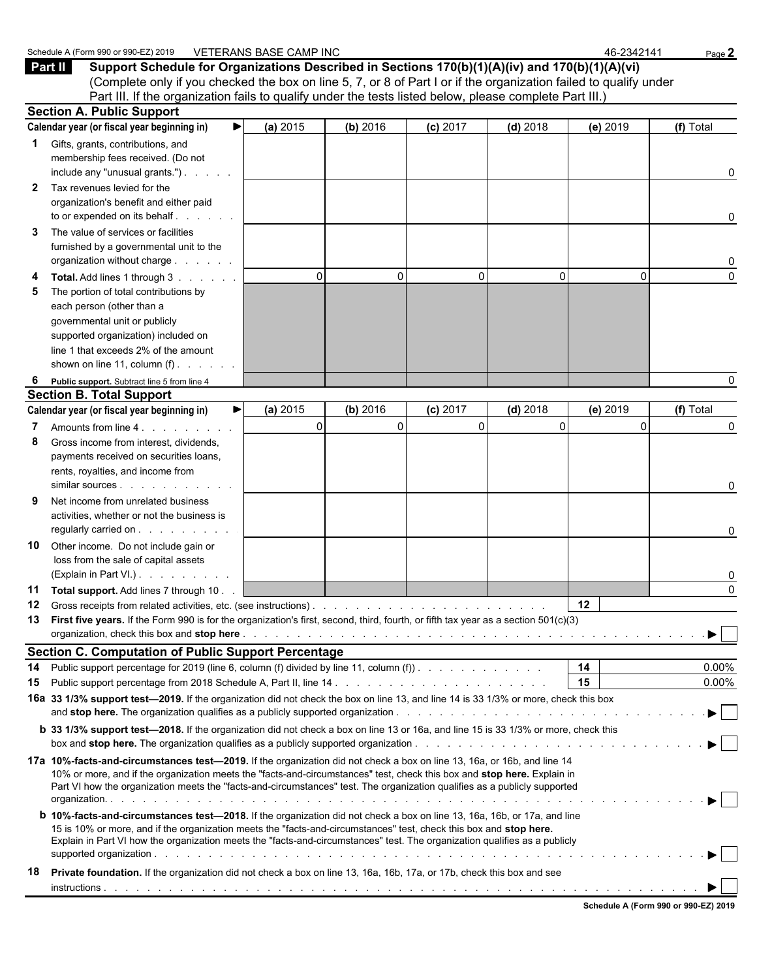|    | <b>Part II</b><br>Support Schedule for Organizations Described in Sections 170(b)(1)(A)(iv) and 170(b)(1)(A)(vi)                                                                                                                                 |             |          |            |             |          |                                |
|----|--------------------------------------------------------------------------------------------------------------------------------------------------------------------------------------------------------------------------------------------------|-------------|----------|------------|-------------|----------|--------------------------------|
|    | (Complete only if you checked the box on line 5, 7, or 8 of Part I or if the organization failed to qualify under                                                                                                                                |             |          |            |             |          |                                |
|    | Part III. If the organization fails to qualify under the tests listed below, please complete Part III.)<br><b>Section A. Public Support</b>                                                                                                      |             |          |            |             |          |                                |
|    | Calendar year (or fiscal year beginning in)                                                                                                                                                                                                      | (a) 2015    | (b) 2016 | $(c)$ 2017 | $(d)$ 2018  | (e) 2019 | (f) Total                      |
|    |                                                                                                                                                                                                                                                  |             |          |            |             |          |                                |
| 1. | Gifts, grants, contributions, and<br>membership fees received. (Do not                                                                                                                                                                           |             |          |            |             |          |                                |
|    | include any "unusual grants.")                                                                                                                                                                                                                   |             |          |            |             |          | 0                              |
| 2  | Tax revenues levied for the                                                                                                                                                                                                                      |             |          |            |             |          |                                |
|    | organization's benefit and either paid                                                                                                                                                                                                           |             |          |            |             |          |                                |
|    | to or expended on its behalf                                                                                                                                                                                                                     |             |          |            |             |          | 0                              |
| 3  | The value of services or facilities                                                                                                                                                                                                              |             |          |            |             |          |                                |
|    | furnished by a governmental unit to the                                                                                                                                                                                                          |             |          |            |             |          |                                |
|    | organization without charge                                                                                                                                                                                                                      |             |          |            |             |          | 0                              |
|    | Total. Add lines 1 through 3                                                                                                                                                                                                                     | $\Omega$    | $\Omega$ | 0          | $\Omega$    | $\Omega$ | $\Omega$                       |
| 5  | The portion of total contributions by                                                                                                                                                                                                            |             |          |            |             |          |                                |
|    | each person (other than a                                                                                                                                                                                                                        |             |          |            |             |          |                                |
|    | governmental unit or publicly                                                                                                                                                                                                                    |             |          |            |             |          |                                |
|    | supported organization) included on                                                                                                                                                                                                              |             |          |            |             |          |                                |
|    | line 1 that exceeds 2% of the amount                                                                                                                                                                                                             |             |          |            |             |          |                                |
|    | shown on line 11, column $(f)$ .                                                                                                                                                                                                                 |             |          |            |             |          |                                |
| 6  | Public support. Subtract line 5 from line 4                                                                                                                                                                                                      |             |          |            |             |          | 0                              |
|    | <b>Section B. Total Support</b>                                                                                                                                                                                                                  |             |          |            |             |          |                                |
|    | Calendar year (or fiscal year beginning in)<br>▶                                                                                                                                                                                                 | (a) 2015    | (b) 2016 | $(c)$ 2017 | $(d)$ 2018  | (e) 2019 | (f) Total                      |
|    | Amounts from line 4.                                                                                                                                                                                                                             | $\mathbf 0$ | $\Omega$ | 0          | $\mathbf 0$ |          | 0                              |
| 8  | Gross income from interest, dividends,                                                                                                                                                                                                           |             |          |            |             |          |                                |
|    | payments received on securities loans,                                                                                                                                                                                                           |             |          |            |             |          |                                |
|    | rents, royalties, and income from                                                                                                                                                                                                                |             |          |            |             |          |                                |
|    | similar sources expansion of the state of the state of the state of the state of the state of the state of the                                                                                                                                   |             |          |            |             |          | 0                              |
|    | Net income from unrelated business<br>activities, whether or not the business is                                                                                                                                                                 |             |          |            |             |          |                                |
|    | regularly carried on                                                                                                                                                                                                                             |             |          |            |             |          | 0                              |
| 10 | Other income. Do not include gain or                                                                                                                                                                                                             |             |          |            |             |          |                                |
|    | loss from the sale of capital assets                                                                                                                                                                                                             |             |          |            |             |          |                                |
|    | (Explain in Part VI.)                                                                                                                                                                                                                            |             |          |            |             |          | 0                              |
| 11 | Total support. Add lines 7 through 10.                                                                                                                                                                                                           |             |          |            |             |          | $\Omega$                       |
| 12 | Gross receipts from related activities, etc. (see instructions).                                                                                                                                                                                 |             |          |            |             | $12 \,$  |                                |
| 13 | First five years. If the Form 990 is for the organization's first, second, third, fourth, or fifth tax year as a section 501(c)(3)                                                                                                               |             |          |            |             |          |                                |
|    |                                                                                                                                                                                                                                                  |             |          |            |             |          | ▶                              |
|    | <b>Section C. Computation of Public Support Percentage</b>                                                                                                                                                                                       |             |          |            |             |          |                                |
| 14 | Public support percentage for 2019 (line 6, column (f) divided by line 11, column (f)).                                                                                                                                                          |             |          |            |             | 14       | $0.00\%$                       |
| 15 |                                                                                                                                                                                                                                                  |             |          |            |             | 15       | $0.00\%$                       |
|    | 16a 33 1/3% support test-2019. If the organization did not check the box on line 13, and line 14 is 33 1/3% or more, check this box                                                                                                              |             |          |            |             |          |                                |
|    |                                                                                                                                                                                                                                                  |             |          |            |             |          |                                |
|    | <b>b</b> 33 1/3% support test-2018. If the organization did not check a box on line 13 or 16a, and line 15 is 33 1/3% or more, check this                                                                                                        |             |          |            |             |          |                                |
|    | 17a 10%-facts-and-circumstances test—2019. If the organization did not check a box on line 13, 16a, or 16b, and line 14                                                                                                                          |             |          |            |             |          |                                |
|    | 10% or more, and if the organization meets the "facts-and-circumstances" test, check this box and stop here. Explain in                                                                                                                          |             |          |            |             |          |                                |
|    | Part VI how the organization meets the "facts-and-circumstances" test. The organization qualifies as a publicly supported                                                                                                                        |             |          |            |             |          |                                |
|    |                                                                                                                                                                                                                                                  |             |          |            |             |          |                                |
|    | <b>b</b> 10%-facts-and-circumstances test-2018. If the organization did not check a box on line 13, 16a, 16b, or 17a, and line                                                                                                                   |             |          |            |             |          |                                |
|    | 15 is 10% or more, and if the organization meets the "facts-and-circumstances" test, check this box and stop here.<br>Explain in Part VI how the organization meets the "facts-and-circumstances" test. The organization qualifies as a publicly |             |          |            |             |          |                                |
|    |                                                                                                                                                                                                                                                  |             |          |            |             |          | $\blacktriangleright$ $\vdash$ |
| 18 | Private foundation. If the organization did not check a box on line 13, 16a, 16b, 17a, or 17b, check this box and see                                                                                                                            |             |          |            |             |          |                                |
|    |                                                                                                                                                                                                                                                  |             |          |            |             |          |                                |
|    |                                                                                                                                                                                                                                                  |             |          |            |             |          |                                |

Schedule A (Form 990 or 990-EZ) 2019 VETERANS BASE CAMP INC 46-2342141 Page 2

|  |  | Schedule A (Form 990 or 990-EZ) 2019 |  |
|--|--|--------------------------------------|--|
|  |  |                                      |  |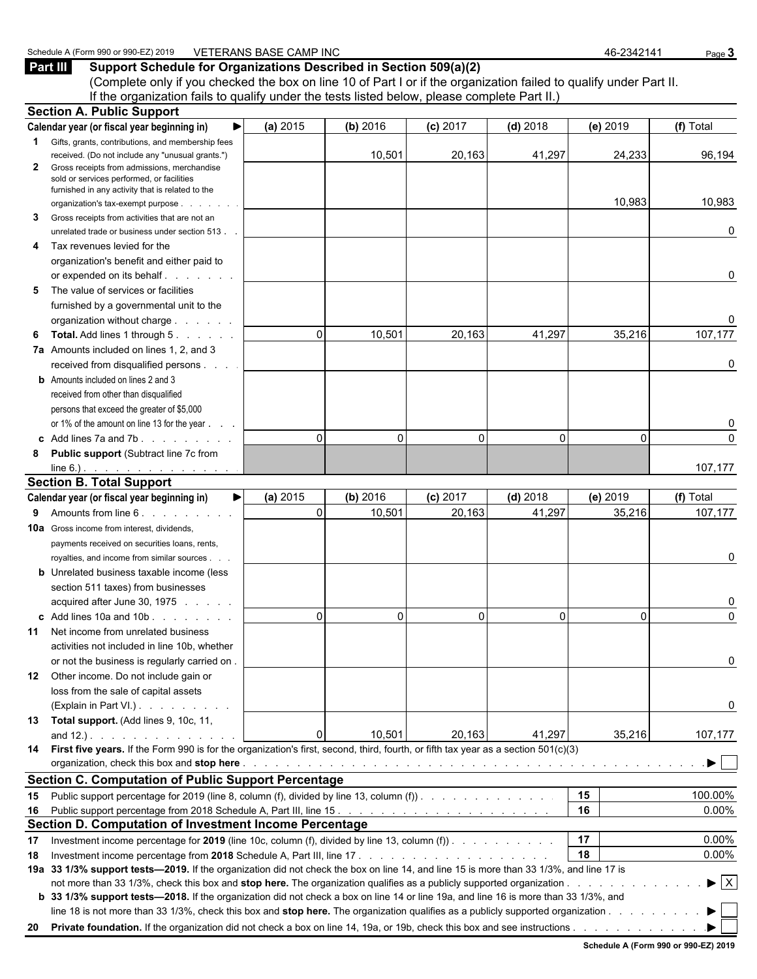(Complete only if you checked the box on line 10 of Part I or if the organization failed to qualify under Part II. If the organization fails to qualify under the tests listed below, please complete Part II.) **Section A. Public Support**

|    | Section A. Fublic Support                                                                                                              |              |          |            |            |          |                                |
|----|----------------------------------------------------------------------------------------------------------------------------------------|--------------|----------|------------|------------|----------|--------------------------------|
|    | ▶<br>Calendar year (or fiscal year beginning in)                                                                                       | (a) 2015     | (b) 2016 | $(c)$ 2017 | $(d)$ 2018 | (e) 2019 | (f) Total                      |
| 1  | Gifts, grants, contributions, and membership fees                                                                                      |              |          |            |            |          |                                |
|    | received. (Do not include any "unusual grants.")                                                                                       |              | 10,501   | 20,163     | 41,297     | 24,233   | 96,194                         |
| 2  | Gross receipts from admissions, merchandise                                                                                            |              |          |            |            |          |                                |
|    | sold or services performed, or facilities<br>furnished in any activity that is related to the                                          |              |          |            |            |          |                                |
|    | organization's tax-exempt purpose                                                                                                      |              |          |            |            | 10,983   | 10,983                         |
| 3  | Gross receipts from activities that are not an                                                                                         |              |          |            |            |          |                                |
|    | unrelated trade or business under section 513.                                                                                         |              |          |            |            |          | 0                              |
| 4  | Tax revenues levied for the                                                                                                            |              |          |            |            |          |                                |
|    | organization's benefit and either paid to                                                                                              |              |          |            |            |          |                                |
|    | or expended on its behalf                                                                                                              |              |          |            |            |          | 0                              |
| 5  | The value of services or facilities                                                                                                    |              |          |            |            |          |                                |
|    | furnished by a governmental unit to the                                                                                                |              |          |            |            |          |                                |
|    |                                                                                                                                        |              |          |            |            |          |                                |
| 6  | <b>Total.</b> Add lines 1 through 5.                                                                                                   | $\Omega$     | 10,501   | 20,163     | 41,297     | 35,216   | 107,177                        |
|    | 7a Amounts included on lines 1, 2, and 3                                                                                               |              |          |            |            |          |                                |
|    | received from disqualified persons                                                                                                     |              |          |            |            |          | 0                              |
|    | <b>b</b> Amounts included on lines 2 and 3                                                                                             |              |          |            |            |          |                                |
|    | received from other than disqualified                                                                                                  |              |          |            |            |          |                                |
|    | persons that exceed the greater of \$5,000                                                                                             |              |          |            |            |          |                                |
|    | or 1% of the amount on line 13 for the year                                                                                            |              |          |            |            |          |                                |
|    | c Add lines 7a and 7b. $\ldots$                                                                                                        | $\Omega$     | $\Omega$ | $\Omega$   | $\Omega$   | $\Omega$ | $\Omega$                       |
|    | 8 Public support (Subtract line 7c from                                                                                                |              |          |            |            |          |                                |
|    | $line 6.)$ .                                                                                                                           |              |          |            |            |          | 107,177                        |
|    | <b>Section B. Total Support</b>                                                                                                        |              |          |            |            |          |                                |
|    | Calendar year (or fiscal year beginning in)<br>▶                                                                                       | (a) 2015     | (b) 2016 | $(c)$ 2017 | $(d)$ 2018 | (e) 2019 | (f) Total                      |
| 9. | Amounts from line 6.                                                                                                                   | $\Omega$     | 10,501   | 20,163     | 41,297     | 35,216   | 107,177                        |
|    | <b>10a</b> Gross income from interest, dividends,                                                                                      |              |          |            |            |          |                                |
|    | payments received on securities loans, rents,                                                                                          |              |          |            |            |          |                                |
|    | royalties, and income from similar sources.                                                                                            |              |          |            |            |          | 0                              |
|    | <b>b</b> Unrelated business taxable income (less                                                                                       |              |          |            |            |          |                                |
|    | section 511 taxes) from businesses                                                                                                     |              |          |            |            |          |                                |
|    | acquired after June 30, 1975                                                                                                           |              |          |            |            |          | 0                              |
|    | $\mathbf c$ Add lines 10a and 10b $\ldots$                                                                                             | $\mathbf{0}$ | $\Omega$ | $\Omega$   | $\Omega$   | $\Omega$ | $\Omega$                       |
|    | <b>11</b> Net income from unrelated business                                                                                           |              |          |            |            |          |                                |
|    | activities not included in line 10b, whether                                                                                           |              |          |            |            |          |                                |
|    | or not the business is regularly carried on.                                                                                           |              |          |            |            |          | 0                              |
|    | 12 Other income. Do not include gain or                                                                                                |              |          |            |            |          |                                |
|    | loss from the sale of capital assets                                                                                                   |              |          |            |            |          |                                |
|    | (Explain in Part VI.)                                                                                                                  |              |          |            |            |          | 0                              |
| 13 | Total support. (Add lines 9, 10c, 11,                                                                                                  |              |          |            |            |          |                                |
|    | and $12.$ ). $\ldots$ $\ldots$ $\ldots$ $\ldots$                                                                                       | $\Omega$     | 10,501   | 20,163     | 41,297     | 35,216   | 107,177                        |
|    | 14 First five years. If the Form 990 is for the organization's first, second, third, fourth, or fifth tax year as a section 501(c)(3)  |              |          |            |            |          |                                |
|    |                                                                                                                                        |              |          |            |            |          | ▶                              |
|    | <b>Section C. Computation of Public Support Percentage</b>                                                                             |              |          |            |            |          |                                |
|    | 15 Public support percentage for 2019 (line 8, column (f), divided by line 13, column (f)).                                            |              |          |            |            | 15       | 100.00%                        |
|    |                                                                                                                                        |              |          |            |            | 16       | 0.00%                          |
|    | Section D. Computation of Investment Income Percentage                                                                                 |              |          |            |            |          |                                |
| 17 | Investment income percentage for 2019 (line 10c, column (f), divided by line 13, column (f)).                                          |              |          |            |            | 17       | 0.00%                          |
|    |                                                                                                                                        |              |          |            |            | 18       | 0.00%                          |
| 18 | 19a 33 1/3% support tests—2019. If the organization did not check the box on line 14, and line 15 is more than 33 1/3%, and line 17 is |              |          |            |            |          |                                |
|    |                                                                                                                                        |              |          |            |            |          | $\blacktriangleright$ $\mid$ X |
|    | b 33 1/3% support tests-2018. If the organization did not check a box on line 14 or line 19a, and line 16 is more than 33 1/3%, and    |              |          |            |            |          |                                |
|    | line 18 is not more than 33 1/3%, check this box and stop here. The organization qualifies as a publicly supported organization        |              |          |            |            |          |                                |
|    |                                                                                                                                        |              |          |            |            |          |                                |
|    |                                                                                                                                        |              |          |            |            |          |                                |

**Schedule A (Form 990 or 990-EZ) 2019**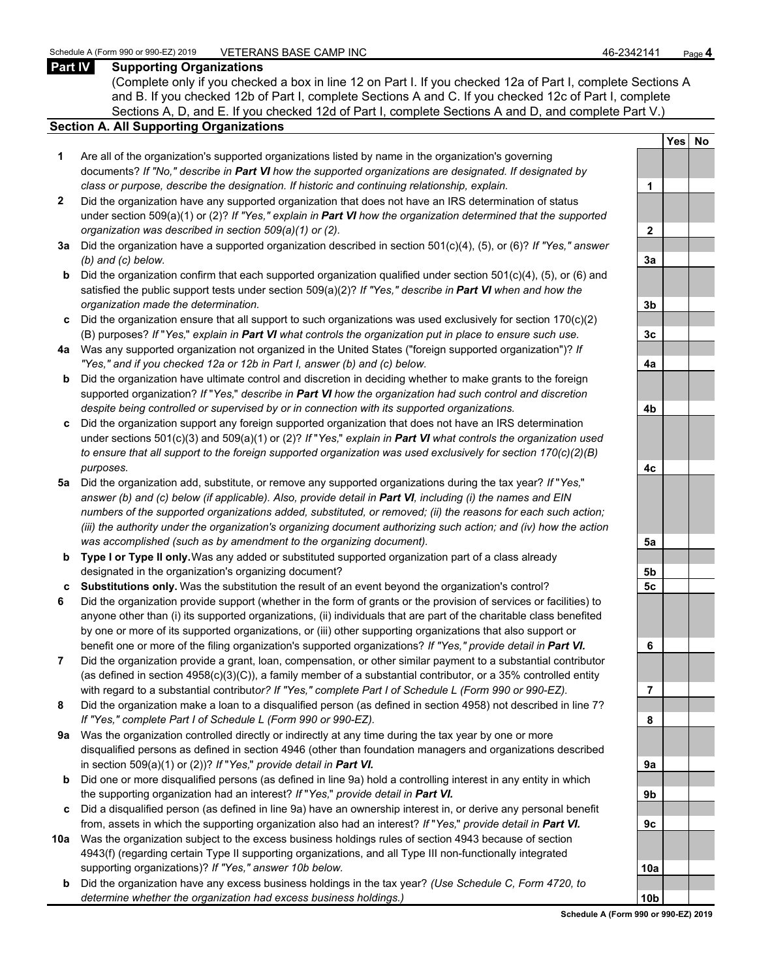### **Part IV Supporting Organizations**

(Complete only if you checked a box in line 12 on Part I. If you checked 12a of Part I, complete Sections A and B. If you checked 12b of Part I, complete Sections A and C. If you checked 12c of Part I, complete Sections A, D, and E. If you checked 12d of Part I, complete Sections A and D, and complete Part V.)

#### **Section A. All Supporting Organizations**

- **1** Are all of the organization's supported organizations listed by name in the organization's governing documents? *If "No," describe in Part VI how the supported organizations are designated. If designated by class or purpose, describe the designation. If historic and continuing relationship, explain.* **1**
- **2** Did the organization have any supported organization that does not have an IRS determination of status under section 509(a)(1) or (2)? *If "Yes," explain in Part VI how the organization determined that the supported organization was described in section 509(a)(1) or (2).*
- **3a** Did the organization have a supported organization described in section 501(c)(4), (5), or (6)? *If "Yes," answer (b) and (c) below.* **3a**
- **b** Did the organization confirm that each supported organization qualified under section 501(c)(4), (5), or (6) and satisfied the public support tests under section 509(a)(2)? *If "Yes," describe in Part VI when and how the organization made the determination.* **3b**
- **c** Did the organization ensure that all support to such organizations was used exclusively for section 170(c)(2) (B) purposes? *If* "*Yes,*" *explain in Part VI what controls the organization put in place to ensure such use.* **3c**
- **4a** Was any supported organization not organized in the United States ("foreign supported organization")? *If "Yes," and if you checked 12a or 12b in Part I, answer (b) and (c) below.* **4a**
- **b** Did the organization have ultimate control and discretion in deciding whether to make grants to the foreign supported organization? *If* "*Yes,*" *describe in Part VI how the organization had such control and discretion despite being controlled or supervised by or in connection with its supported organizations.* **4b**
- **c** Did the organization support any foreign supported organization that does not have an IRS determination under sections 501(c)(3) and 509(a)(1) or (2)? *If* "*Yes,*" *explain in Part VI what controls the organization used to ensure that all support to the foreign supported organization was used exclusively for section 170(c)(2)(B) purposes.* **4c**
- **5a** Did the organization add, substitute, or remove any supported organizations during the tax year? *If* "*Yes,*" *answer (b) and (c) below (if applicable). Also, provide detail in Part VI, including (i) the names and EIN numbers of the supported organizations added, substituted, or removed; (ii) the reasons for each such action; (iii) the authority under the organization's organizing document authorizing such action; and (iv) how the action was accomplished (such as by amendment to the organizing document).* **5a**
- **b Type I or Type II only.** Was any added or substituted supported organization part of a class already designated in the organization's organizing document? **5b**
- **c Substitutions only.** Was the substitution the result of an event beyond the organization's control? **5c**
- **6** Did the organization provide support (whether in the form of grants or the provision of services or facilities) to anyone other than (i) its supported organizations, (ii) individuals that are part of the charitable class benefited by one or more of its supported organizations, or (iii) other supporting organizations that also support or benefit one or more of the filing organization's supported organizations? *If "Yes," provide detail in Part VI.* **6**
- **7** Did the organization provide a grant, loan, compensation, or other similar payment to a substantial contributor (as defined in section 4958(c)(3)(C)), a family member of a substantial contributor, or a 35% controlled entity with regard to a substantial contribut*or? If "Yes," complete Part I of Schedule L (Form 990 or 990-EZ).* **7**
- **8** Did the organization make a loan to a disqualified person (as defined in section 4958) not described in line 7? *If "Yes," complete Part I of Schedule L (Form 990 or 990-EZ).* **8**
- **9a** Was the organization controlled directly or indirectly at any time during the tax year by one or more disqualified persons as defined in section 4946 (other than foundation managers and organizations described in section 509(a)(1) or (2))? *If* "*Yes*," *provide detail in Part VI.*
- **b** Did one or more disqualified persons (as defined in line 9a) hold a controlling interest in any entity in which the supporting organization had an interest? *If* "*Yes,*" *provide detail in Part VI.* **9b**
- **c** Did a disqualified person (as defined in line 9a) have an ownership interest in, or derive any personal benefit from, assets in which the supporting organization also had an interest? *If* "*Yes,*" *provide detail in Part VI.* **9c**
- **10a** Was the organization subject to the excess business holdings rules of section 4943 because of section 4943(f) (regarding certain Type II supporting organizations, and all Type III non-functionally integrated supporting organizations)? If "Yes," answer 10b below.
	- **b** Did the organization have any excess business holdings in the tax year? *(Use Schedule C, Form 4720, to determine whether the organization had excess business holdings.)*

|                | <b>Yes</b> | $No$ |
|----------------|------------|------|
|                |            |      |
| 1              |            |      |
|                |            |      |
| $\overline{2}$ |            |      |
|                |            |      |
| <u>3a</u>      |            |      |
|                |            |      |
| <u>3b</u>      |            |      |
|                |            |      |
| $\frac{3c}{2}$ |            |      |
| $\frac{4a}{2}$ |            |      |
|                |            |      |
| 4b             |            |      |
|                |            |      |
| 4c             |            |      |
|                |            |      |
| <u>5a</u>      |            |      |
| <u>5b</u>      |            |      |
| $\frac{5c}{2}$ |            |      |
|                |            |      |
| 6              |            |      |
|                |            |      |
| $\overline{7}$ |            |      |
|                |            |      |
| 8              |            |      |
|                |            |      |
| Эa             |            |      |
|                |            |      |
| )b             |            |      |
|                |            |      |
| K              |            |      |
|                |            |      |
| 0a<br>1        |            |      |
| 0ŀ             |            |      |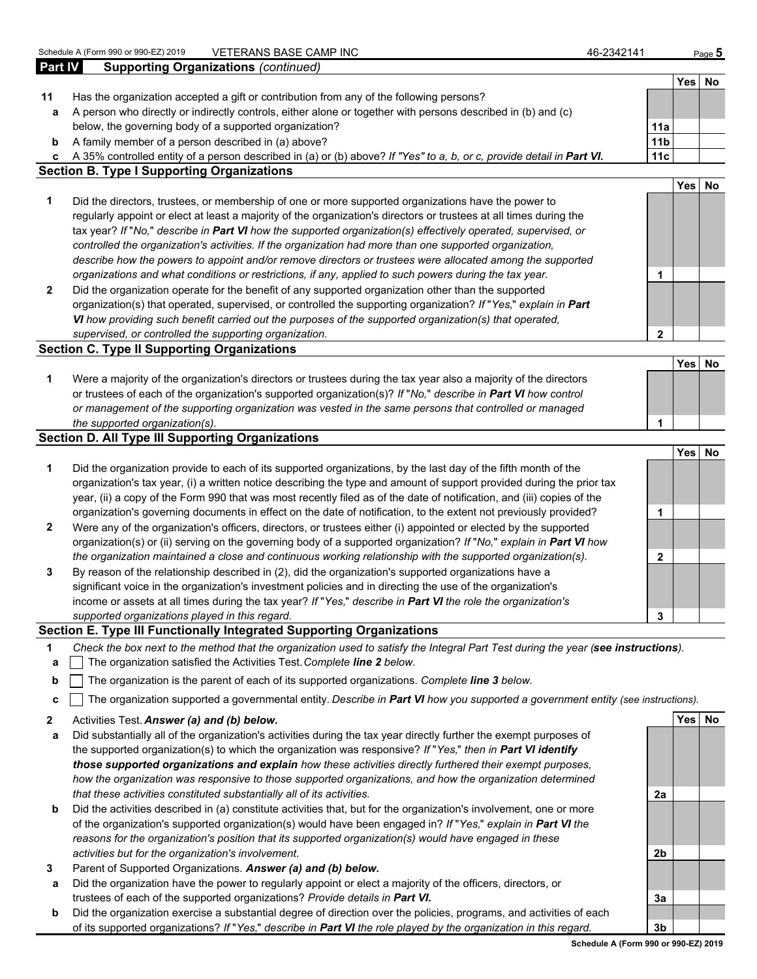Schedule A (Form 990 or 990-EZ) 2019 VETERANS BASE CAMP INC 46-2342141 Page 5

**Part IV Supporting Organizations** *(continued)* **11** Has the organization accepted a gift or contribution from any of the following persons?

- **a** A person who directly or indirectly controls, either alone or together with persons described in (b) and (c) below, the governing body of a supported organization? **11a**
- **b** A family member of a person described in (a) above? **11b 11b 11b 11b 11b 11b**

**c** A 35% controlled entity of a person described in (a) or (b) above? *If "Yes" to a, b, or c, provide detail in Part VI.* **11c**

**Section B. Type I Supporting Organizations**

- **1** Did the directors, trustees, or membership of one or more supported organizations have the power to regularly appoint or elect at least a majority of the organization's directors or trustees at all times during the tax year? *If* "*No,*" *describe in Part VI how the supported organization(s) effectively operated, supervised, or controlled the organization's activities. If the organization had more than one supported organization, describe how the powers to appoint and/or remove directors or trustees were allocated among the supported organizations and what conditions or restrictions, if any, applied to such powers during the tax year.* **1**
- **2** Did the organization operate for the benefit of any supported organization other than the supported organization(s) that operated, supervised, or controlled the supporting organization? *If* "*Yes,*" *explain in Part VI how providing such benefit carried out the purposes of the supported organization(s) that operated, supervised, or controlled the supporting organization.* **2**

#### **Section C. Type II Supporting Organizations**

**1** Were a majority of the organization's directors or trustees during the tax year also a majority of the directors or trustees of each of the organization's supported organization(s)? *If* "*No,*" *describe in Part VI how control or management of the supporting organization was vested in the same persons that controlled or managed the supported organization(s).* **1**

### **Section D. All Type III Supporting Organizations**

- **Yes No 1** Did the organization provide to each of its supported organizations, by the last day of the fifth month of the organization's tax year, (i) a written notice describing the type and amount of support provided during the prior tax year, (ii) a copy of the Form 990 that was most recently filed as of the date of notification, and (iii) copies of the organization's governing documents in effect on the date of notification, to the extent not previously provided? **1 2** Were any of the organization's officers, directors, or trustees either (i) appointed or elected by the supported organization(s) or (ii) serving on the governing body of a supported organization? *If* "*No,*" *explain in Part VI how the organization maintained a close and continuous working relationship with the supported organization(s).* **2 3** By reason of the relationship described in (2), did the organization's supported organizations have a
- significant voice in the organization's investment policies and in directing the use of the organization's income or assets at all times during the tax year? *If* "*Yes,*" *describe in Part VI the role the organization's supported organizations played in this regard.* **3**

### **Section E. Type III Functionally Integrated Supporting Organizations**

- **1** *Check the box next to the method that the organization used to satisfy the Integral Part Test during the year (see instructions).*
- **a** The organization satisfied the Activities Test. *Complete line 2 below.*
- **b** The organization is the parent of each of its supported organizations. *Complete line 3 below.*
- **c** The organization supported a governmental entity. *Describe in Part VI how you supported a government entity (see instructions).*
- **2** Activities Test. *Answer (a) and (b) below.* **Yes No**
- **a** Did substantially all of the organization's activities during the tax year directly further the exempt purposes of the supported organization(s) to which the organization was responsive? *If* "*Yes,*" *then in Part VI identify those supported organizations and explain how these activities directly furthered their exempt purposes, how the organization was responsive to those supported organizations, and how the organization determined that these activities constituted substantially all of its activities.* **2a**
- **b** Did the activities described in (a) constitute activities that, but for the organization's involvement, one or more of the organization's supported organization(s) would have been engaged in? *If* "*Yes,*" *explain in Part VI the reasons for the organization's position that its supported organization(s) would have engaged in these activities but for the organization's involvement.* **2b**
- **3** Parent of Supported Organizations. *Answer (a) and (b) below.*
- **a** Did the organization have the power to regularly appoint or elect a majority of the officers, directors, or trustees of each of the supported organizations? *Provide details in Part VI.* **3a**
- **b** Did the organization exercise a substantial degree of direction over the policies, programs, and activities of each of its supported organizations? *If* "*Yes,*" *describe in Part VI the role played by the organization in this regard.* **3b**

**Yes No**

**Yes No**

**Yes No**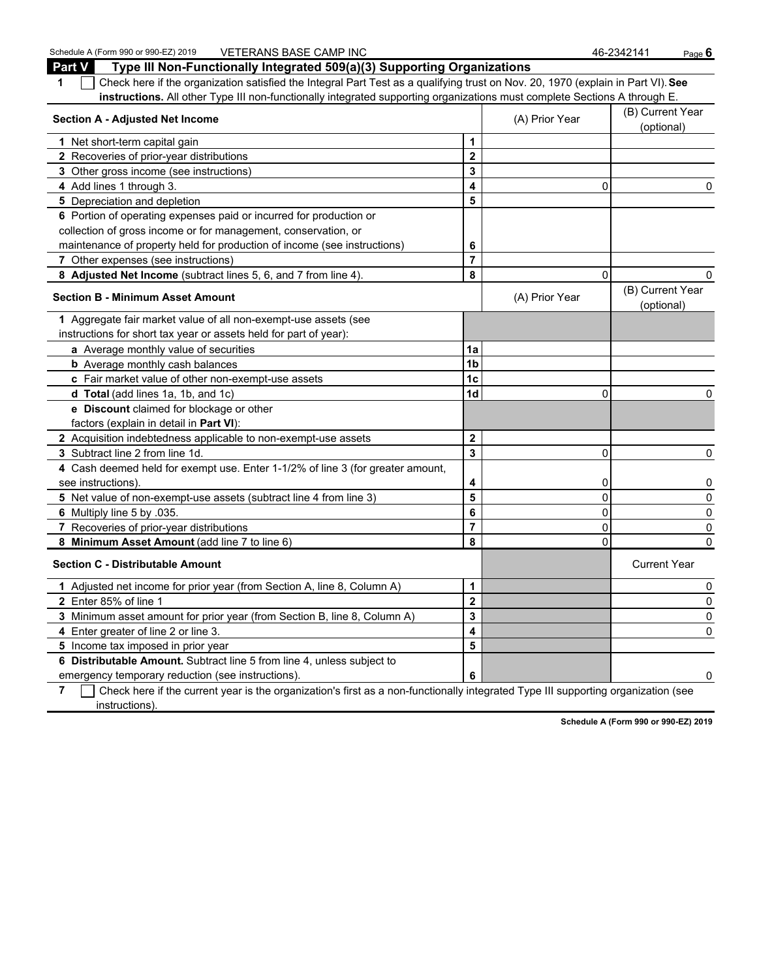Schedule A (Form 990 or 990-EZ) 2019 VETERANS BASE CAMP INC 46-2342141 Page 6 **Part V Type III Non-Functionally Integrated 509(a)(3) Supporting Organizations 1** Check here if the organization satisfied the Integral Part Test as a qualifying trust on Nov. 20, 1970 (explain in Part VI). **See instructions.** All other Type III non-functionally integrated supporting organizations must complete Sections A through E. **Section A - Adjusted Net Income** (B) Current Year (B) Current Year (B) Current Year (B) Current Year (B) Current Year (B) Current Year (B) Current Year (B) Current Year (B) Current Year (B) Current Year (B) Current Year ( (optional) **1** Net short-term capital gain **1 1 2** Recoveries of prior-year distributions **2 3** Other gross income (see instructions) **3 4** Add lines 1 through 3. **4** 0 0 **5** Depreciation and depletion **5 5 6** Portion of operating expenses paid or incurred for production or collection of gross income or for management, conservation, or maintenance of property held for production of income (see instructions) **6 7** Other expenses (see instructions) **7 8 Adjusted Net Income** (subtract lines 5, 6, and 7 from line 4). **8** 0 0 **Section B - Minimum Asset Amount Contract Amount** (A) Prior Year (B) Current Year (B) Current Year (B) Current Year (B) Current Year (B) Current Year (B) Current Year (B) Current Year (B) Current Year (B) Current Year ( (optional) **1** Aggregate fair market value of all non-exempt-use assets (see instructions for short tax year or assets held for part of year): **a** Average monthly value of securities **1a b** Average monthly cash balances **1b** Average monthly cash balances **1b c** Fair market value of other non-exempt-use assets **1c d Total** (add lines 1a, 1b, and 1c) **1d** 0 0 **e Discount** claimed for blockage or other factors (explain in detail in **Part VI**): **2** Acquisition indebtedness applicable to non-exempt-use assets **2 3** Subtract line 2 from line 1d. **3** 0 0 **4** Cash deemed held for exempt use. Enter 1-1/2% of line 3 (for greater amount, see instructions). **4** 0 0 **5** Net value of non-exempt-use assets (subtract line 4 from line 3) **5** 0 0 **6** Multiply line 5 by .035. **6** 0 0 **7** Recoveries of prior-year distributions **7** 0 0 **8 Minimum Asset Amount** (add line 7 to line 6) **8** 0 0 **Section C - Distributable Amount** Current Year Current Year Current Year Current Year Current Year **1** Adjusted net income for prior year (from Section A, line 8, Column A) **1** 0 **2** Enter 85% of line 1 **2** 0 **3** Minimum asset amount for prior year (from Section B, line 8, Column A) **3** 0

**6 Distributable Amount.** Subtract line 5 from line 4, unless subject to

**5** Income tax imposed in prior year **5**

emergency temporary reduction (see instructions). **6** 0

**7** Check here if the current year is the organization's first as a non-functionally integrated Type III supporting organization (see instructions).

**4** Enter greater of line 2 or line 3. **4** 0

**Schedule A (Form 990 or 990-EZ) 2019**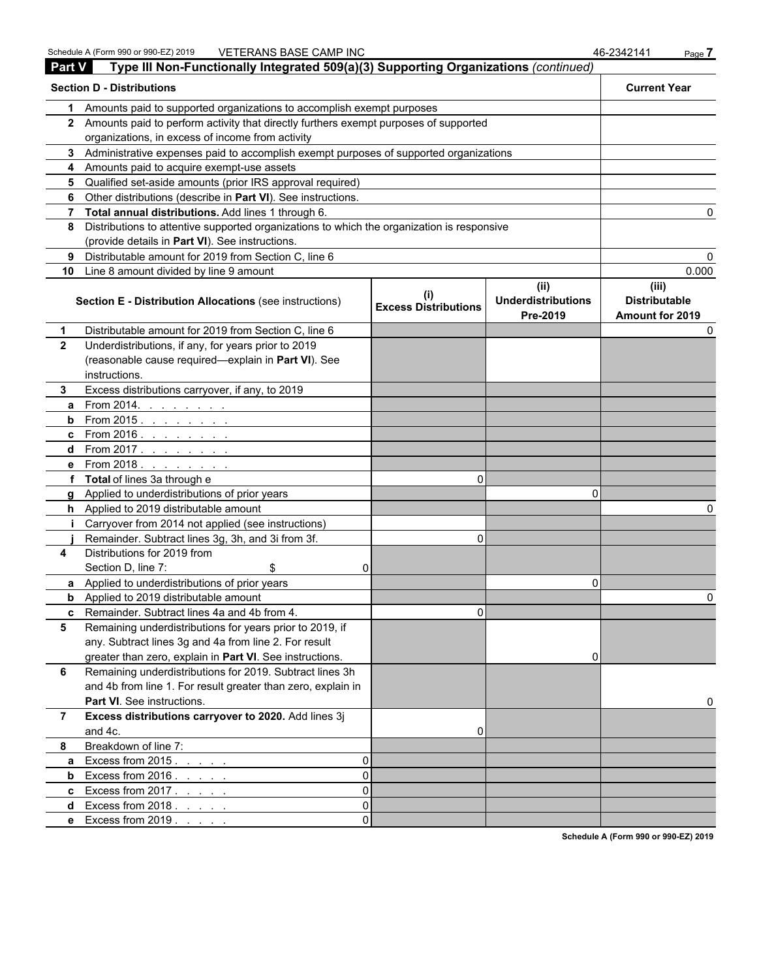| <b>Part V</b> | Type III Non-Functionally Integrated 509(a)(3) Supporting Organizations (continued)        |                             |                                               |                                                  |
|---------------|--------------------------------------------------------------------------------------------|-----------------------------|-----------------------------------------------|--------------------------------------------------|
|               | <b>Section D - Distributions</b>                                                           |                             |                                               | <b>Current Year</b>                              |
| 1.            | Amounts paid to supported organizations to accomplish exempt purposes                      |                             |                                               |                                                  |
|               | 2 Amounts paid to perform activity that directly furthers exempt purposes of supported     |                             |                                               |                                                  |
|               | organizations, in excess of income from activity                                           |                             |                                               |                                                  |
|               | 3 Administrative expenses paid to accomplish exempt purposes of supported organizations    |                             |                                               |                                                  |
|               | 4 Amounts paid to acquire exempt-use assets                                                |                             |                                               |                                                  |
|               | 5 Qualified set-aside amounts (prior IRS approval required)                                |                             |                                               |                                                  |
|               | 6 Other distributions (describe in Part VI). See instructions.                             |                             |                                               |                                                  |
|               | 7 Total annual distributions. Add lines 1 through 6.                                       |                             |                                               |                                                  |
| 8             | Distributions to attentive supported organizations to which the organization is responsive |                             |                                               |                                                  |
|               | (provide details in Part VI). See instructions.                                            |                             |                                               |                                                  |
| 9             | Distributable amount for 2019 from Section C, line 6                                       |                             |                                               |                                                  |
|               | 10 Line 8 amount divided by line 9 amount                                                  |                             |                                               | 0.000                                            |
|               | Section E - Distribution Allocations (see instructions)                                    | <b>Excess Distributions</b> | (ii)<br><b>Underdistributions</b><br>Pre-2019 | (iii)<br><b>Distributable</b><br>Amount for 2019 |
| 1             | Distributable amount for 2019 from Section C, line 6                                       |                             |                                               | O                                                |
| $\mathbf{2}$  | Underdistributions, if any, for years prior to 2019                                        |                             |                                               |                                                  |
|               | (reasonable cause required-explain in Part VI). See                                        |                             |                                               |                                                  |
|               | instructions.                                                                              |                             |                                               |                                                  |
| 3.            | Excess distributions carryover, if any, to 2019                                            |                             |                                               |                                                  |
| a             | From 2014. $\ldots$ $\ldots$ $\ldots$                                                      |                             |                                               |                                                  |
|               | <b>b</b> From 2015. $\frac{1}{2}$                                                          |                             |                                               |                                                  |
|               | c From 2016. <u>.</u>                                                                      |                             |                                               |                                                  |
|               | <b>d</b> From 2017. <u>.</u>                                                               |                             |                                               |                                                  |
|               | e From 2018.                                                                               |                             |                                               |                                                  |
|               | f Total of lines 3a through e                                                              | 0                           |                                               |                                                  |
|               | g Applied to underdistributions of prior years                                             |                             | O                                             |                                                  |
|               | h Applied to 2019 distributable amount                                                     |                             |                                               |                                                  |
|               | Carryover from 2014 not applied (see instructions)                                         |                             |                                               |                                                  |
|               | Remainder. Subtract lines 3g, 3h, and 3i from 3f.                                          | 0                           |                                               |                                                  |
| 4             | Distributions for 2019 from                                                                |                             |                                               |                                                  |
|               | Section D, line 7:<br>\$<br>ΩI                                                             |                             |                                               |                                                  |
|               | a Applied to underdistributions of prior years                                             |                             | 0                                             |                                                  |
|               | <b>b</b> Applied to 2019 distributable amount                                              |                             |                                               | ი                                                |
|               | <b>c</b> Remainder. Subtract lines 4a and 4b from 4                                        | U.                          |                                               |                                                  |
| 5             | Remaining underdistributions for years prior to 2019, if                                   |                             |                                               |                                                  |
|               | any. Subtract lines 3g and 4a from line 2. For result                                      |                             |                                               |                                                  |
|               | greater than zero, explain in Part VI. See instructions.                                   |                             | 0                                             |                                                  |
| 6             | Remaining underdistributions for 2019. Subtract lines 3h                                   |                             |                                               |                                                  |
|               | and 4b from line 1. For result greater than zero, explain in                               |                             |                                               |                                                  |
|               | Part VI. See instructions.                                                                 |                             |                                               |                                                  |
| $\mathbf{7}$  | Excess distributions carryover to 2020. Add lines 3j                                       |                             |                                               |                                                  |
|               | and 4c.                                                                                    | 0                           |                                               |                                                  |
| 8             | Breakdown of line 7:                                                                       |                             |                                               |                                                  |
| a             | Excess from 2015.<br>$\Omega$                                                              |                             |                                               |                                                  |
| b             | Excess from $2016. \ldots$ .<br>$\Omega$                                                   |                             |                                               |                                                  |
|               | <b>c</b> Excess from $2017$<br>$\Omega$                                                    |                             |                                               |                                                  |
| d             | Excess from $2018.$ $\ldots$ $\ldots$<br>$\Omega$                                          |                             |                                               |                                                  |
|               | e Excess from 2019.<br>ΩI                                                                  |                             |                                               |                                                  |
|               |                                                                                            |                             |                                               |                                                  |

**Schedule A (Form 990 or 990-EZ) 2019**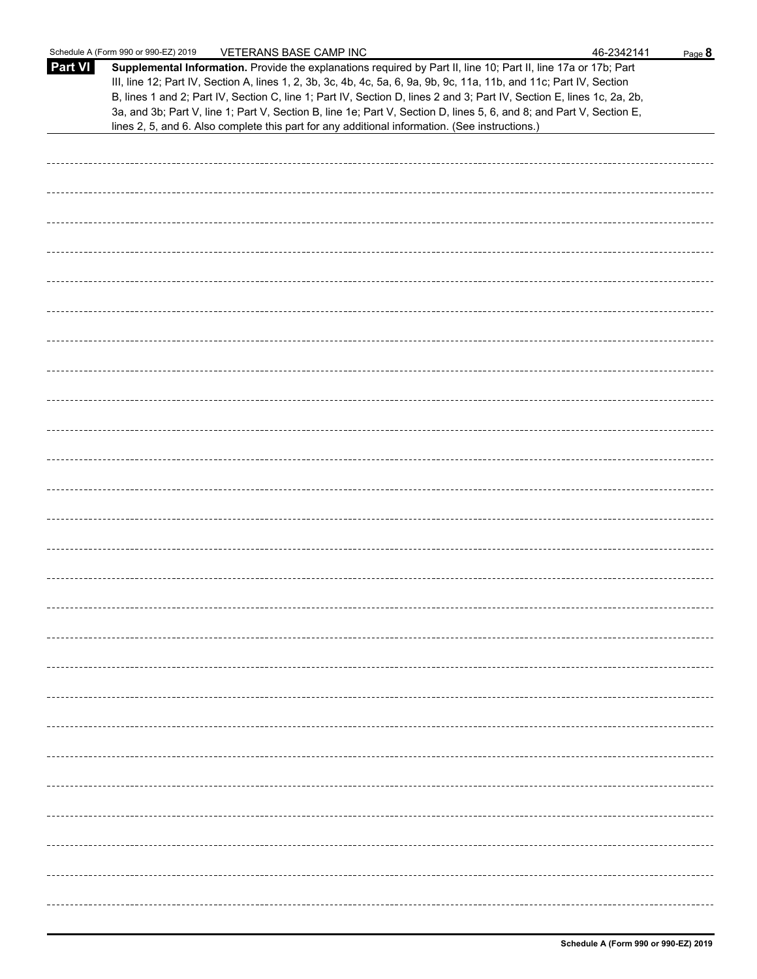|                | Schedule A (Form 990 or 990-EZ) 2019<br>VETERANS BASE CAMP INC                                                                                                                                                                                                                                                                                                                                                                                                                                                                                                                              | 46-2342141 | Page 8 |
|----------------|---------------------------------------------------------------------------------------------------------------------------------------------------------------------------------------------------------------------------------------------------------------------------------------------------------------------------------------------------------------------------------------------------------------------------------------------------------------------------------------------------------------------------------------------------------------------------------------------|------------|--------|
| <b>Part VI</b> | Supplemental Information. Provide the explanations required by Part II, line 10; Part II, line 17a or 17b; Part<br>III, line 12; Part IV, Section A, lines 1, 2, 3b, 3c, 4b, 4c, 5a, 6, 9a, 9b, 9c, 11a, 11b, and 11c; Part IV, Section<br>B, lines 1 and 2; Part IV, Section C, line 1; Part IV, Section D, lines 2 and 3; Part IV, Section E, lines 1c, 2a, 2b,<br>3a, and 3b; Part V, line 1; Part V, Section B, line 1e; Part V, Section D, lines 5, 6, and 8; and Part V, Section E,<br>lines 2, 5, and 6. Also complete this part for any additional information. (See instructions.) |            |        |
|                |                                                                                                                                                                                                                                                                                                                                                                                                                                                                                                                                                                                             |            |        |
|                |                                                                                                                                                                                                                                                                                                                                                                                                                                                                                                                                                                                             |            |        |
|                |                                                                                                                                                                                                                                                                                                                                                                                                                                                                                                                                                                                             |            |        |
|                |                                                                                                                                                                                                                                                                                                                                                                                                                                                                                                                                                                                             |            |        |
|                |                                                                                                                                                                                                                                                                                                                                                                                                                                                                                                                                                                                             |            |        |
|                |                                                                                                                                                                                                                                                                                                                                                                                                                                                                                                                                                                                             |            |        |
|                |                                                                                                                                                                                                                                                                                                                                                                                                                                                                                                                                                                                             |            |        |
|                |                                                                                                                                                                                                                                                                                                                                                                                                                                                                                                                                                                                             |            |        |
|                |                                                                                                                                                                                                                                                                                                                                                                                                                                                                                                                                                                                             |            |        |
|                |                                                                                                                                                                                                                                                                                                                                                                                                                                                                                                                                                                                             |            |        |
|                |                                                                                                                                                                                                                                                                                                                                                                                                                                                                                                                                                                                             |            |        |
|                |                                                                                                                                                                                                                                                                                                                                                                                                                                                                                                                                                                                             |            |        |
|                |                                                                                                                                                                                                                                                                                                                                                                                                                                                                                                                                                                                             |            |        |
|                |                                                                                                                                                                                                                                                                                                                                                                                                                                                                                                                                                                                             |            |        |
|                |                                                                                                                                                                                                                                                                                                                                                                                                                                                                                                                                                                                             |            |        |
|                |                                                                                                                                                                                                                                                                                                                                                                                                                                                                                                                                                                                             |            |        |
|                |                                                                                                                                                                                                                                                                                                                                                                                                                                                                                                                                                                                             |            |        |
|                |                                                                                                                                                                                                                                                                                                                                                                                                                                                                                                                                                                                             |            |        |
|                |                                                                                                                                                                                                                                                                                                                                                                                                                                                                                                                                                                                             |            |        |
|                |                                                                                                                                                                                                                                                                                                                                                                                                                                                                                                                                                                                             |            |        |
|                |                                                                                                                                                                                                                                                                                                                                                                                                                                                                                                                                                                                             |            |        |
|                |                                                                                                                                                                                                                                                                                                                                                                                                                                                                                                                                                                                             |            |        |
|                |                                                                                                                                                                                                                                                                                                                                                                                                                                                                                                                                                                                             |            |        |
|                |                                                                                                                                                                                                                                                                                                                                                                                                                                                                                                                                                                                             |            |        |
|                |                                                                                                                                                                                                                                                                                                                                                                                                                                                                                                                                                                                             |            |        |
|                |                                                                                                                                                                                                                                                                                                                                                                                                                                                                                                                                                                                             |            |        |
|                |                                                                                                                                                                                                                                                                                                                                                                                                                                                                                                                                                                                             |            |        |
|                |                                                                                                                                                                                                                                                                                                                                                                                                                                                                                                                                                                                             |            |        |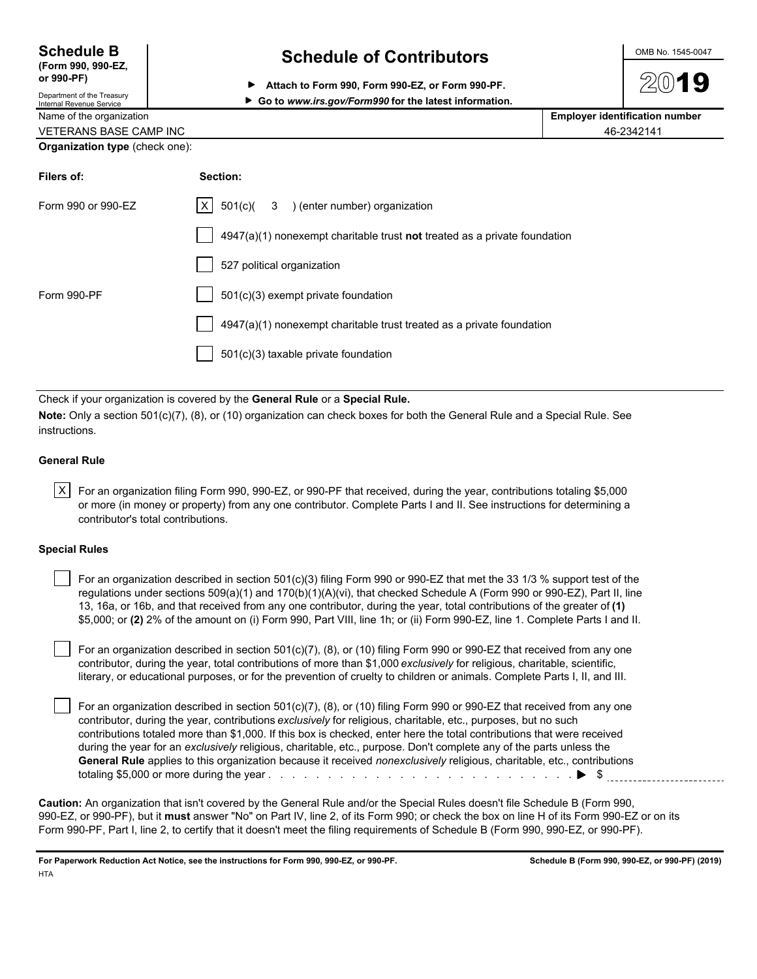| <b>Schedule B</b>                                      | <b>Schedule of Contributors</b>                         | OMB No. 1545-0047                     |
|--------------------------------------------------------|---------------------------------------------------------|---------------------------------------|
| (Form 990, 990-EZ,<br>or 990-PF)                       | Attach to Form 990, Form 990-EZ, or Form 990-PF.<br>▶   | 2019                                  |
| Department of the Treasury<br>Internal Revenue Service | ► Go to www.irs.gov/Form990 for the latest information. |                                       |
| Name of the organization                               |                                                         | <b>Employer identification number</b> |
| <b>VETERANS BASE CAMP INC</b>                          |                                                         | 46-2342141                            |
| <b>Organization type (check one):</b>                  |                                                         |                                       |

| Section:                                                                  |
|---------------------------------------------------------------------------|
| $ X $ 501(c)( 3 ) (enter number) organization                             |
| 4947(a)(1) nonexempt charitable trust not treated as a private foundation |
| 527 political organization                                                |
| 501(c)(3) exempt private foundation                                       |
| 4947(a)(1) nonexempt charitable trust treated as a private foundation     |
| 501(c)(3) taxable private foundation                                      |
|                                                                           |

Check if your organization is covered by the **General Rule** or a **Special Rule.**

**Note:** Only a section 501(c)(7), (8), or (10) organization can check boxes for both the General Rule and a Special Rule. See instructions.

#### **General Rule**

 $\vert \text{X} \vert$  For an organization filing Form 990, 990-EZ, or 990-PF that received, during the year, contributions totaling \$5,000 or more (in money or property) from any one contributor. Complete Parts I and II. See instructions for determining a contributor's total contributions.

#### **Special Rules**

| For an organization described in section 501(c)(3) filing Form 990 or 990-EZ that met the 33 1/3 % support test of the      |
|-----------------------------------------------------------------------------------------------------------------------------|
| regulations under sections $509(a)(1)$ and $170(b)(1)(A)(vi)$ , that checked Schedule A (Form 990 or 990-EZ), Part II, line |
| 13, 16a, or 16b, and that received from any one contributor, during the year, total contributions of the greater of (1)     |
| \$5,000; or (2) 2% of the amount on (i) Form 990, Part VIII, line 1h; or (ii) Form 990-EZ, line 1. Complete Parts I and II. |

 For an organization described in section 501(c)(7), (8), or (10) filing Form 990 or 990-EZ that received from any one contributor, during the year, total contributions of more than \$1,000 *exclusively* for religious, charitable, scientific, literary, or educational purposes, or for the prevention of cruelty to children or animals. Complete Parts I, II, and III.

 For an organization described in section 501(c)(7), (8), or (10) filing Form 990 or 990-EZ that received from any one contributor, during the year, contributions *exclusively* for religious, charitable, etc., purposes, but no such contributions totaled more than \$1,000. If this box is checked, enter here the total contributions that were received during the year for an *exclusively* religious, charitable, etc., purpose. Don't complete any of the parts unless the **General Rule** applies to this organization because it received *nonexclusively* religious, charitable, etc., contributions totaling \$5,000 or more during the year . . . . . . . . . . . . . . . . . . . . . . . . . . . . . . . . . . . . . . . . . . . . . . . . . . . \$

**Caution:** An organization that isn't covered by the General Rule and/or the Special Rules doesn't file Schedule B (Form 990, 990-EZ, or 990-PF), but it **must** answer "No" on Part IV, line 2, of its Form 990; or check the box on line H of its Form 990-EZ or on its Form 990-PF, Part I, line 2, to certify that it doesn't meet the filing requirements of Schedule B (Form 990, 990-EZ, or 990-PF).

**For Paperwork Reduction Act Notice, see the instructions for Form 990, 990-EZ, or 990-PF. Schedule B (Form 990, 990-EZ, or 990-PF) (2019) HTA**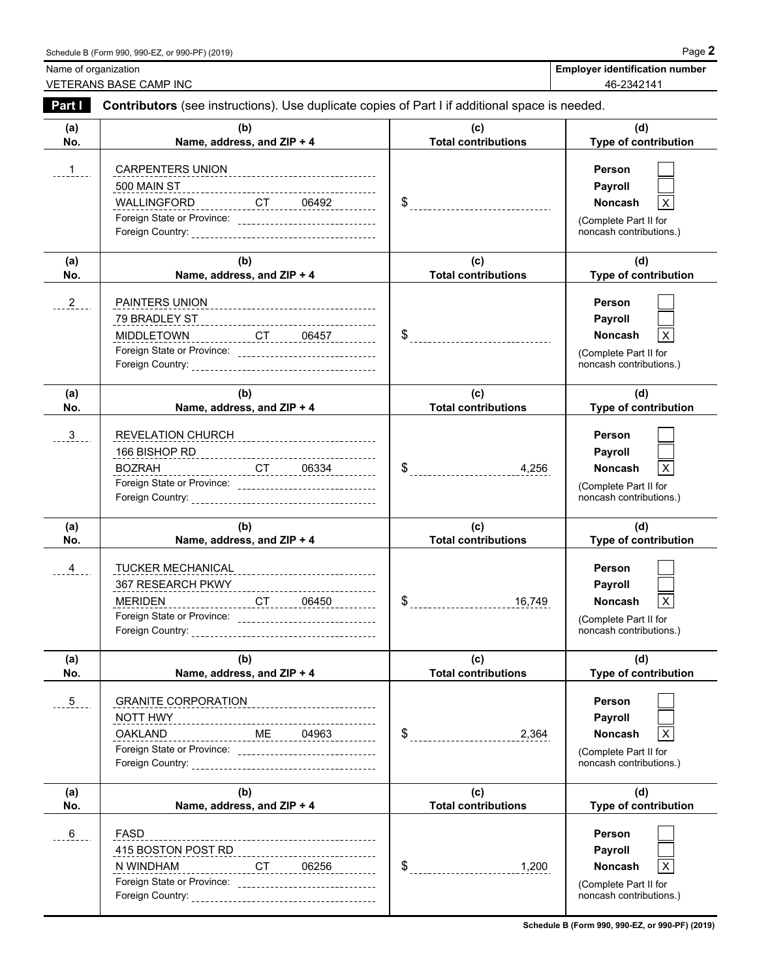Name of organization **Employer identification number Employer identification number** VETERANS BASE CAMP INC 46-2342141

| Part I          | Contributors (see instructions). Use duplicate copies of Part I if additional space is needed.                                                                                         |                                   |                                                                                                                  |
|-----------------|----------------------------------------------------------------------------------------------------------------------------------------------------------------------------------------|-----------------------------------|------------------------------------------------------------------------------------------------------------------|
| (a)<br>No.      | (b)<br>Name, address, and ZIP + 4                                                                                                                                                      | (c)<br><b>Total contributions</b> | (d)<br>Type of contribution                                                                                      |
| 1               | CARPENTERS UNION<br><u>WALLINGFORD__________CT_____06492__________</u><br>Foreign State or Province: _______________________________                                                   |                                   | <b>Person</b><br>Payroll<br><b>Noncash</b><br>X.<br>(Complete Part II for<br>noncash contributions.)             |
| (a)<br>No.      | (b)<br>Name, address, and ZIP + 4                                                                                                                                                      | (c)<br><b>Total contributions</b> | (d)<br>Type of contribution                                                                                      |
| $2_{-}$         | PAINTERS UNION<br>------------------------------------<br>MIDDLETOWN CT CT 06457<br>Foreign State or Province: _________________________________                                       |                                   | <b>Person</b><br>Payroll<br>X<br><b>Noncash</b><br>(Complete Part II for<br>noncash contributions.)              |
| (a)<br>No.      | (b)<br>Name, address, and ZIP + 4                                                                                                                                                      | (c)<br><b>Total contributions</b> | (d)<br>Type of contribution                                                                                      |
| $\mathbf{3}$    | REVELATION CHURCH_______________________________<br>____________________CT_______06334__________<br><b>BOZRAH</b><br>---<br>Foreign State or Province: _______________________________ | $\frac{1}{2}$                     | <b>Person</b><br>Payroll<br>X<br><b>Noncash</b><br>(Complete Part II for<br>noncash contributions.)              |
| (a)<br>No.      | (b)<br>Name, address, and ZIP + 4                                                                                                                                                      | (c)<br><b>Total contributions</b> | (d)<br>Type of contribution                                                                                      |
| $\overline{4}$  | TUCKER MECHANICAL_______________________________<br>MERIDEN<br>Foreign State or Province: ________________________________                                                             | $\frac{16,749}{1}$                | <b>Person</b><br>Payroll<br>$\pmb{\times}$<br><b>Noncash</b><br>(Complete Part II for<br>noncash contributions.) |
| (a)<br>No.      | (b)<br>Name, address, and ZIP + 4                                                                                                                                                      | (c)<br><b>Total contributions</b> | (d)<br>Type of contribution                                                                                      |
| $\overline{.5}$ | <b>GRANITE CORPORATION</b><br>---------------------------<br>NOTT HWY<br><b>OAKLAND</b>                                                                                                | \$<br>2,364                       | Person<br>Payroll<br>X<br><b>Noncash</b><br>(Complete Part II for<br>noncash contributions.)                     |
| (a)<br>No.      | (b)<br>Name, address, and ZIP + 4                                                                                                                                                      | (c)<br><b>Total contributions</b> | (d)<br>Type of contribution                                                                                      |
| 6               | <b>FASD</b><br>___________________________________                                                                                                                                     |                                   | Person                                                                                                           |

**Schedule B (Form 990, 990-EZ, or 990-PF) (2019)**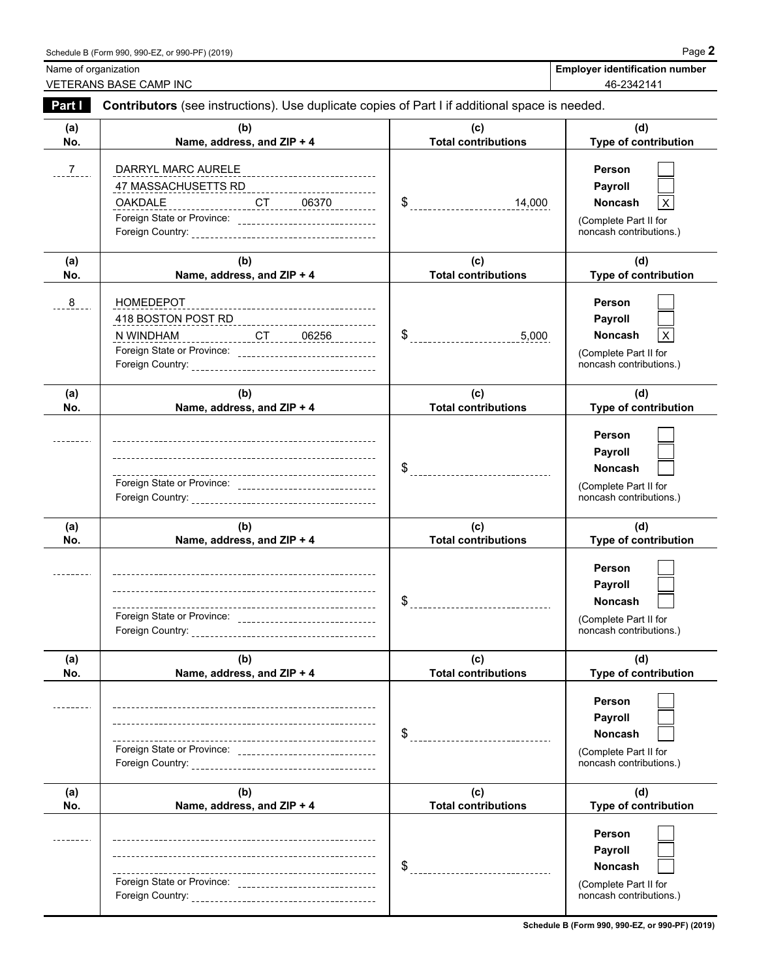Name of organization **Employer identification number Employer identification number** VETERANS BASE CAMP INC 46-2342141

| Part I         | Contributors (see instructions). Use duplicate copies of Part I if additional space is needed.                                                 |                                                  |                                                                                                       |
|----------------|------------------------------------------------------------------------------------------------------------------------------------------------|--------------------------------------------------|-------------------------------------------------------------------------------------------------------|
| (a)<br>No.     | (b)<br>Name, address, and ZIP + 4                                                                                                              | (c)<br><b>Total contributions</b>                | (d)<br>Type of contribution                                                                           |
| $\overline{7}$ | DARRYL MARC AURELE<br><u>OAKDALE _________________CT_____06370 ___________</u><br>Foreign State or Province: ________________________________  | $\frac{14,000}{}$                                | <b>Person</b><br>Payroll<br>Noncash<br>х<br>(Complete Part II for<br>noncash contributions.)          |
| (a)<br>No.     | (b)<br>Name, address, and ZIP + 4                                                                                                              | (c)<br><b>Total contributions</b>                | (d)<br>Type of contribution                                                                           |
| 8              | HOMEDEPOT<br>-----------------------------------<br><u>NWINDHAM</u><br>NWINDHAM<br>Foreign State or Province: ________________________________ | $\frac{1}{2}$ -----------------------------5,000 | <b>Person</b><br>Payroll<br>X<br><b>Noncash</b><br>(Complete Part II for<br>noncash contributions.)   |
| (a)<br>No.     | (b)<br>Name, address, and ZIP + 4                                                                                                              | (c)<br><b>Total contributions</b>                | (d)<br>Type of contribution                                                                           |
|                | Foreign State or Province: ________________________________                                                                                    |                                                  | <b>Person</b><br>Payroll<br>Noncash<br>(Complete Part II for<br>noncash contributions.)               |
| (a)<br>No.     | (b)<br>Name, address, and ZIP + 4                                                                                                              | (c)<br><b>Total contributions</b>                | (d)<br>Type of contribution                                                                           |
|                | Foreign State or Province: ________________________________                                                                                    |                                                  | <b>Person</b><br>Payroll<br><b>Noncash</b><br>(Complete Part II for<br>noncash contributions.)        |
| (a)<br>No.     | (b)<br>Name, address, and ZIP + 4                                                                                                              | (c)<br><b>Total contributions</b>                | (d)<br>Type of contribution                                                                           |
|                | ---<br>Foreign State or Province: _______________________________                                                                              | \$<br>-----------------------------              | <b>Person</b><br><b>Payroll</b><br><b>Noncash</b><br>(Complete Part II for<br>noncash contributions.) |
| (a)<br>No.     | (b)<br>Name, address, and ZIP + 4                                                                                                              | (c)<br><b>Total contributions</b>                | (d)<br>Type of contribution                                                                           |
|                | Foreign State or Province: _________________________________                                                                                   | \$                                               | Person<br><b>Payroll</b><br><b>Noncash</b><br>(Complete Part II for<br>noncash contributions.)        |

**Schedule B (Form 990, 990-EZ, or 990-PF) (2019)**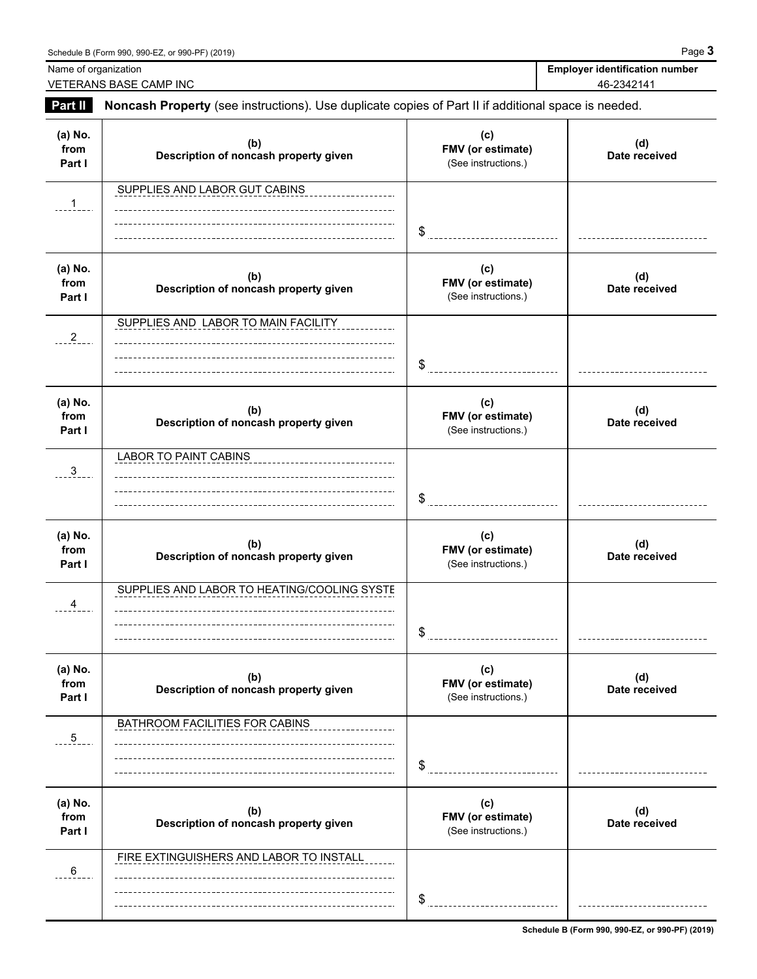| Part II                   |                                                                                                     |                                                 | 46-2342141           |
|---------------------------|-----------------------------------------------------------------------------------------------------|-------------------------------------------------|----------------------|
|                           | Noncash Property (see instructions). Use duplicate copies of Part II if additional space is needed. |                                                 |                      |
| (a) No.<br>from<br>Part I | (b)<br>Description of noncash property given                                                        | (c)<br>FMV (or estimate)<br>(See instructions.) | (d)<br>Date received |
| $\mathbf{1}$              | SUPPLIES AND LABOR GUT CABINS                                                                       | \$                                              |                      |
| (a) No.<br>from<br>Part I | (b)<br>Description of noncash property given                                                        | (c)<br>FMV (or estimate)<br>(See instructions.) | (d)<br>Date received |
| $-2$                      | SUPPLIES AND LABOR TO MAIN FACILITY                                                                 | \$                                              |                      |
| (a) No.<br>from<br>Part I | (b)<br>Description of noncash property given                                                        | (c)<br>FMV (or estimate)<br>(See instructions.) | (d)<br>Date received |
| $\frac{3}{2}$             | LABOR TO PAINT CABINS                                                                               | \$                                              |                      |
| (a) No.<br>from<br>Part I | (b)<br>Description of noncash property given                                                        | (c)<br>FMV (or estimate)<br>(See instructions.) | (d)<br>Date received |
| $-4$                      | SUPPLIES AND LABOR TO HEATING/COOLING SYSTE                                                         | \$                                              |                      |
| (a) No.<br>from<br>Part I | (b)<br>Description of noncash property given                                                        | (c)<br>FMV (or estimate)<br>(See instructions.) | (d)<br>Date received |
| $\frac{5}{2}$ .           | BATHROOM FACILITIES FOR CABINS                                                                      | \$                                              |                      |

 $$$ 

FIRE EXTINGUISHERS AND LABOR TO INSTALL

 $6 - 6$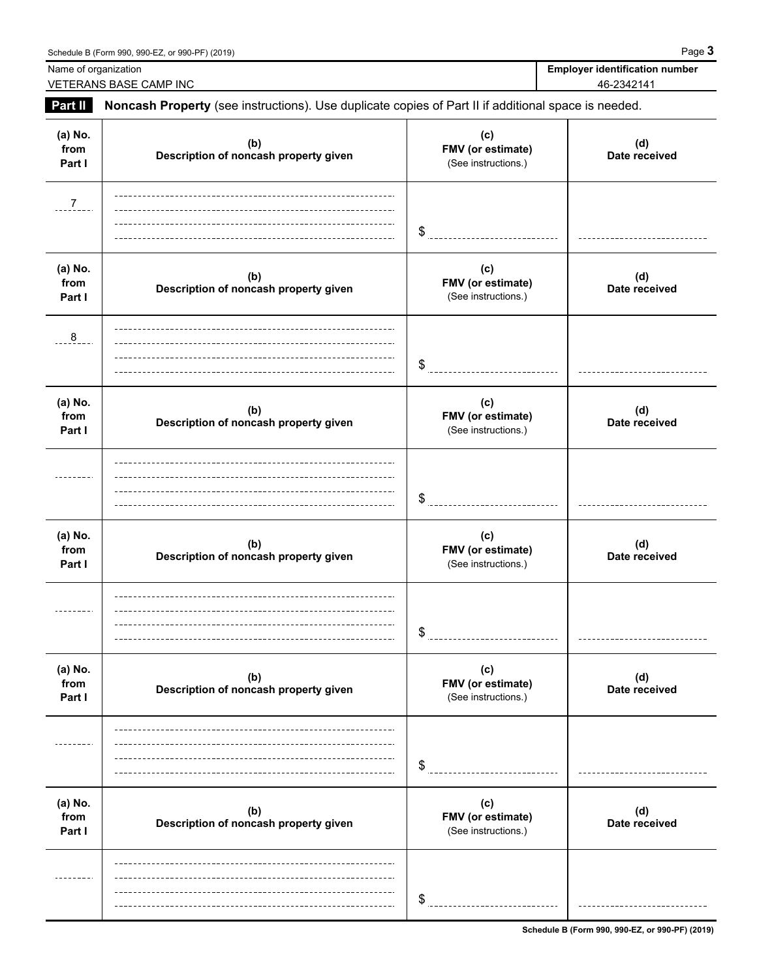Schedule B (Form 990, 990-EZ, or 990-PF) (2019) Page **3** Name of organization **Employer identification number Employer identification number** VETERANS BASE CAMP INC 46-2342141 **Part II Noncash Property** (see instructions). Use duplicate copies of Part II if additional space is needed. **(a) No. (c)** (d)<br>Date received **(b) Description of noncash property given Date received from FMV (or estimate) Part I** (See instructions.)  $-7$ \$ **(a) No. (c) (b) (d) Description of noncash property given Date received from FMV (or estimate) Part I Part I Part I Part I Part I Part I Part I Part I Part I Part I Part I Part I Part I Part I Part I Part I Part I Part I Part I Part I Part I Part I Part I Part I Part**  $rac{8}{2}$ \$ -----------------------------**(a) No. (c) (b) (d) Description of noncash property given Date received from FMV (or estimate) Part I** Description of honorastriproperty given **I** (See instructions.) \$ **(a) No. (c) (b) (d) Description of noncash property given Date received from FMV (or estimate) Part I Part I Part I Part I Part I Part I Part I Part I Part I Part I Part I Part I Part I Part I Part I Part I Part I Part I Part I Part I Part I Part I Part I Part I Part** ---------\$ **(a) No. (c) (b)** (d)<br>Date received **Description of noncash property given Date received from FMV (or estimate) Part I Part I Part I Part I Part I Part I Part I Part I Part I Part I Part I Part I Part I Part I Part I Part I Part I Part I Part I Part I Part I Part I Part I Part I Part** \$ ------------------------------**(a) No. (c) (b)** (d)<br>Date received **Description of noncash property given Date received from FMV (or estimate) Part I** Description of holidast property given **I** (See instructions.)

\$ <u>\_\_\_\_\_\_\_\_\_\_\_\_\_\_\_\_\_</u>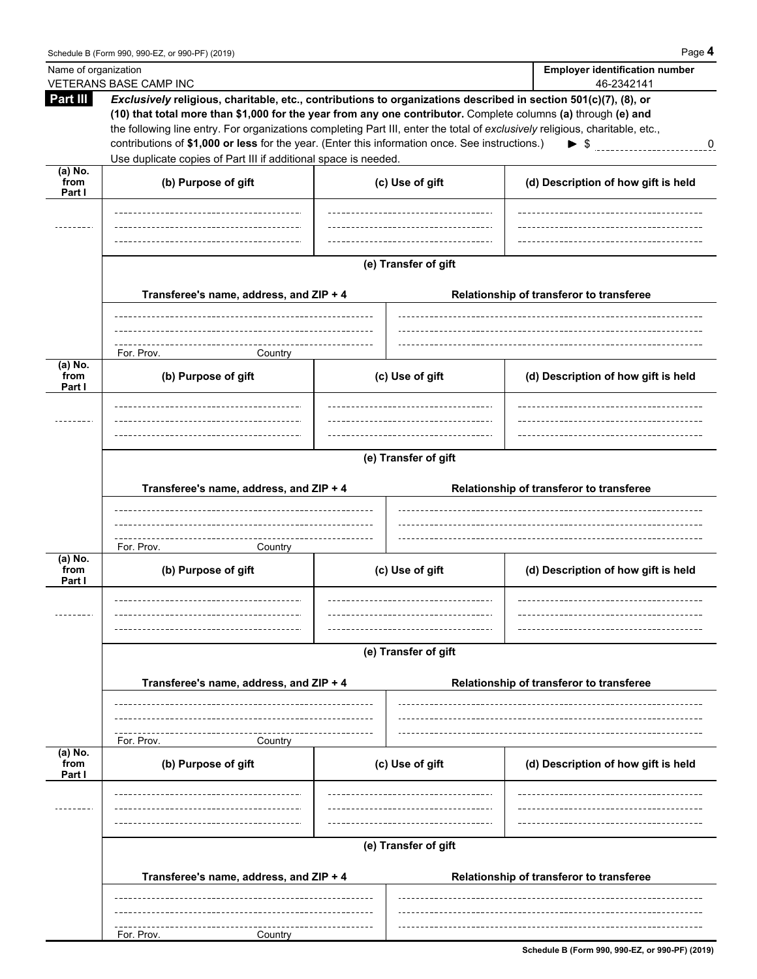| Name of organization        | VETERANS BASE CAMP INC                                                                                                                                                                                                                                                                                                                                                                                                                                                                                                                 |         | <b>Employer identification number</b><br>46-2342141 |  |                                     |  |  |
|-----------------------------|----------------------------------------------------------------------------------------------------------------------------------------------------------------------------------------------------------------------------------------------------------------------------------------------------------------------------------------------------------------------------------------------------------------------------------------------------------------------------------------------------------------------------------------|---------|-----------------------------------------------------|--|-------------------------------------|--|--|
| Part III                    | Exclusively religious, charitable, etc., contributions to organizations described in section 501(c)(7), (8), or<br>(10) that total more than \$1,000 for the year from any one contributor. Complete columns (a) through (e) and<br>the following line entry. For organizations completing Part III, enter the total of exclusively religious, charitable, etc.,<br>contributions of \$1,000 or less for the year. (Enter this information once. See instructions.)<br>Use duplicate copies of Part III if additional space is needed. |         |                                                     |  | $\triangleright$ \$ 0               |  |  |
| $(a)$ No.<br>from<br>Part I | (b) Purpose of gift                                                                                                                                                                                                                                                                                                                                                                                                                                                                                                                    |         | (c) Use of gift                                     |  | (d) Description of how gift is held |  |  |
|                             |                                                                                                                                                                                                                                                                                                                                                                                                                                                                                                                                        |         |                                                     |  |                                     |  |  |
|                             | (e) Transfer of gift<br>Transferee's name, address, and ZIP + 4<br>Relationship of transferor to transferee                                                                                                                                                                                                                                                                                                                                                                                                                            |         |                                                     |  |                                     |  |  |
|                             | For. Prov.                                                                                                                                                                                                                                                                                                                                                                                                                                                                                                                             | Country |                                                     |  |                                     |  |  |
| $(a)$ No.<br>from<br>Part I | (b) Purpose of gift                                                                                                                                                                                                                                                                                                                                                                                                                                                                                                                    |         | (c) Use of gift                                     |  | (d) Description of how gift is held |  |  |
|                             |                                                                                                                                                                                                                                                                                                                                                                                                                                                                                                                                        |         |                                                     |  |                                     |  |  |
|                             | (e) Transfer of gift                                                                                                                                                                                                                                                                                                                                                                                                                                                                                                                   |         |                                                     |  |                                     |  |  |
|                             | Transferee's name, address, and ZIP + 4                                                                                                                                                                                                                                                                                                                                                                                                                                                                                                |         | Relationship of transferor to transferee            |  |                                     |  |  |
| $(a)$ No.<br>from<br>Part I | For. Prov.<br>(b) Purpose of gift                                                                                                                                                                                                                                                                                                                                                                                                                                                                                                      | Country | (c) Use of gift                                     |  | (d) Description of how gift is held |  |  |
|                             | (e) Transfer of gift<br>Transferee's name, address, and ZIP + 4<br>Relationship of transferor to transferee                                                                                                                                                                                                                                                                                                                                                                                                                            |         |                                                     |  |                                     |  |  |
|                             |                                                                                                                                                                                                                                                                                                                                                                                                                                                                                                                                        |         |                                                     |  |                                     |  |  |
| $(a)$ No.<br>from<br>Part I | For. Prov.<br>Country<br>(b) Purpose of gift                                                                                                                                                                                                                                                                                                                                                                                                                                                                                           |         | (c) Use of gift                                     |  | (d) Description of how gift is held |  |  |
|                             |                                                                                                                                                                                                                                                                                                                                                                                                                                                                                                                                        |         |                                                     |  |                                     |  |  |
|                             | (e) Transfer of gift<br>Transferee's name, address, and ZIP + 4<br>Relationship of transferor to transferee                                                                                                                                                                                                                                                                                                                                                                                                                            |         |                                                     |  |                                     |  |  |
|                             |                                                                                                                                                                                                                                                                                                                                                                                                                                                                                                                                        |         |                                                     |  |                                     |  |  |
|                             | For. Prov.                                                                                                                                                                                                                                                                                                                                                                                                                                                                                                                             | Country |                                                     |  |                                     |  |  |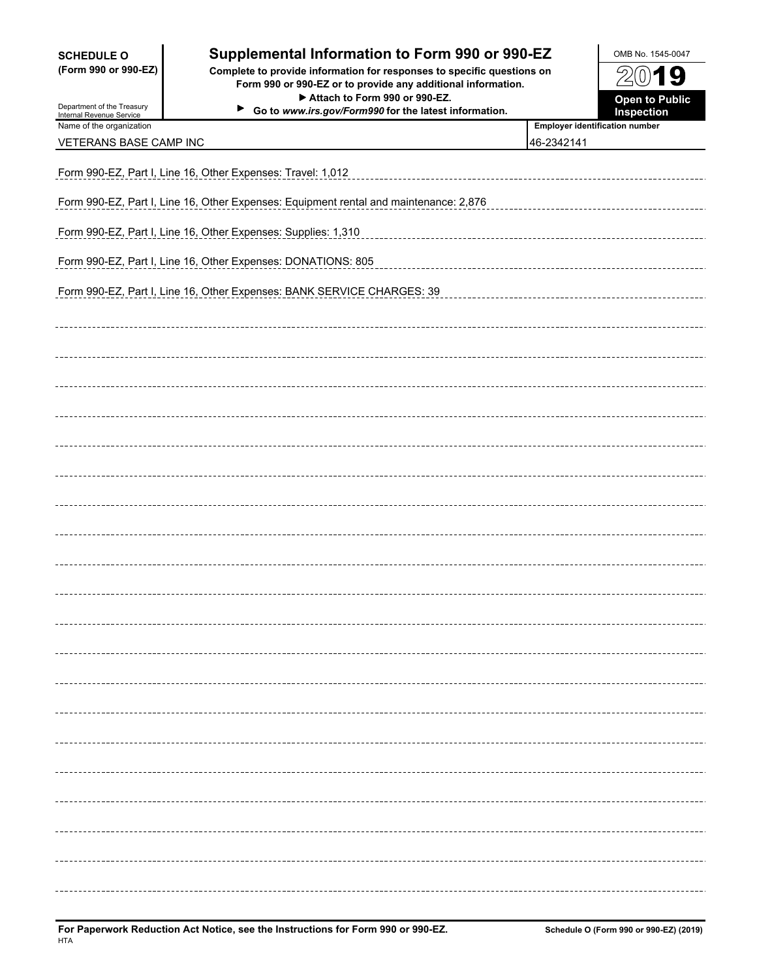| <b>SCHEDULE O</b><br>(Form 990 or 990-EZ)<br>Department of the Treasury<br>Internal Revenue Service | Supplemental Information to Form 990 or 990-EZ<br>Complete to provide information for responses to specific questions on<br>Form 990 or 990-EZ or to provide any additional information.<br>Attach to Form 990 or 990-EZ.<br>▶<br>Go to www.irs.gov/Form990 for the latest information. |                                                     | OMB No. 1545-0047<br>2019<br><b>Open to Public</b><br>Inspection |  |  |  |  |
|-----------------------------------------------------------------------------------------------------|-----------------------------------------------------------------------------------------------------------------------------------------------------------------------------------------------------------------------------------------------------------------------------------------|-----------------------------------------------------|------------------------------------------------------------------|--|--|--|--|
| Name of the organization<br>VETERANS BASE CAMP INC                                                  |                                                                                                                                                                                                                                                                                         | <b>Employer identification number</b><br>46-2342141 |                                                                  |  |  |  |  |
|                                                                                                     |                                                                                                                                                                                                                                                                                         |                                                     |                                                                  |  |  |  |  |
| Form 990-EZ, Part I, Line 16, Other Expenses: Travel: 1,012                                         |                                                                                                                                                                                                                                                                                         |                                                     |                                                                  |  |  |  |  |
| Form 990-EZ, Part I, Line 16, Other Expenses: Equipment rental and maintenance: 2,876               |                                                                                                                                                                                                                                                                                         |                                                     |                                                                  |  |  |  |  |
| Form 990-EZ, Part I, Line 16, Other Expenses: Supplies: 1,310                                       |                                                                                                                                                                                                                                                                                         |                                                     |                                                                  |  |  |  |  |
| Form 990-EZ, Part I, Line 16, Other Expenses: DONATIONS: 805                                        |                                                                                                                                                                                                                                                                                         |                                                     |                                                                  |  |  |  |  |
| Form 990-EZ, Part I, Line 16, Other Expenses: BANK SERVICE CHARGES: 39                              |                                                                                                                                                                                                                                                                                         |                                                     |                                                                  |  |  |  |  |
|                                                                                                     |                                                                                                                                                                                                                                                                                         |                                                     |                                                                  |  |  |  |  |
|                                                                                                     |                                                                                                                                                                                                                                                                                         |                                                     |                                                                  |  |  |  |  |
|                                                                                                     |                                                                                                                                                                                                                                                                                         |                                                     |                                                                  |  |  |  |  |
|                                                                                                     |                                                                                                                                                                                                                                                                                         |                                                     |                                                                  |  |  |  |  |
|                                                                                                     |                                                                                                                                                                                                                                                                                         |                                                     |                                                                  |  |  |  |  |
|                                                                                                     |                                                                                                                                                                                                                                                                                         |                                                     |                                                                  |  |  |  |  |
|                                                                                                     |                                                                                                                                                                                                                                                                                         |                                                     |                                                                  |  |  |  |  |
|                                                                                                     |                                                                                                                                                                                                                                                                                         |                                                     |                                                                  |  |  |  |  |
|                                                                                                     |                                                                                                                                                                                                                                                                                         |                                                     |                                                                  |  |  |  |  |
|                                                                                                     |                                                                                                                                                                                                                                                                                         |                                                     |                                                                  |  |  |  |  |
|                                                                                                     |                                                                                                                                                                                                                                                                                         |                                                     |                                                                  |  |  |  |  |
|                                                                                                     |                                                                                                                                                                                                                                                                                         |                                                     |                                                                  |  |  |  |  |
|                                                                                                     |                                                                                                                                                                                                                                                                                         |                                                     |                                                                  |  |  |  |  |
|                                                                                                     |                                                                                                                                                                                                                                                                                         |                                                     |                                                                  |  |  |  |  |
|                                                                                                     |                                                                                                                                                                                                                                                                                         |                                                     |                                                                  |  |  |  |  |
|                                                                                                     |                                                                                                                                                                                                                                                                                         |                                                     |                                                                  |  |  |  |  |
|                                                                                                     |                                                                                                                                                                                                                                                                                         |                                                     |                                                                  |  |  |  |  |
|                                                                                                     |                                                                                                                                                                                                                                                                                         |                                                     |                                                                  |  |  |  |  |
|                                                                                                     |                                                                                                                                                                                                                                                                                         |                                                     |                                                                  |  |  |  |  |
|                                                                                                     |                                                                                                                                                                                                                                                                                         |                                                     |                                                                  |  |  |  |  |
|                                                                                                     |                                                                                                                                                                                                                                                                                         |                                                     |                                                                  |  |  |  |  |
|                                                                                                     |                                                                                                                                                                                                                                                                                         |                                                     |                                                                  |  |  |  |  |
|                                                                                                     |                                                                                                                                                                                                                                                                                         |                                                     |                                                                  |  |  |  |  |
|                                                                                                     |                                                                                                                                                                                                                                                                                         |                                                     |                                                                  |  |  |  |  |